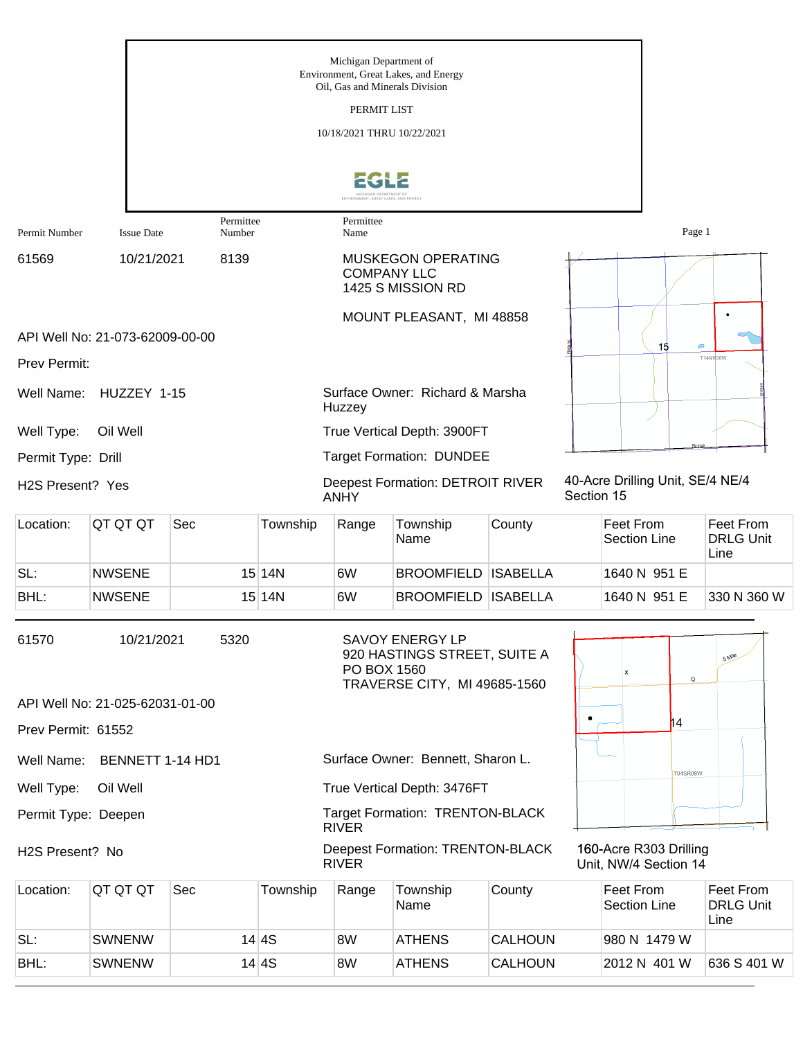|                                                                 |                                 |                |          | Michigan Department of<br>Oil, Gas and Minerals Division<br>PERMIT LIST<br>10/18/2021 THRU 10/22/2021 | Environment, Great Lakes, and Energy                                                   |                 |            |                                                 |                                              |
|-----------------------------------------------------------------|---------------------------------|----------------|----------|-------------------------------------------------------------------------------------------------------|----------------------------------------------------------------------------------------|-----------------|------------|-------------------------------------------------|----------------------------------------------|
|                                                                 |                                 | Permittee      |          | Permittee<br>Name                                                                                     | MENT, GREAT LAKES, AND ENERG                                                           |                 |            |                                                 |                                              |
| Permit Number<br>61569                                          | <b>Issue Date</b><br>10/21/2021 | Number<br>8139 |          | <b>MUSKEGON OPERATING</b><br><b>COMPANY LLC</b><br>1425 S MISSION RD                                  |                                                                                        |                 |            | Page 1                                          |                                              |
|                                                                 |                                 |                |          |                                                                                                       | MOUNT PLEASANT, MI 48858                                                               |                 |            |                                                 |                                              |
| Prev Permit:                                                    | API Well No: 21-073-62009-00-00 |                |          |                                                                                                       |                                                                                        |                 |            | 15<br>$\bigcirc$                                | <b>T14NR06W</b>                              |
| Well Name:                                                      | HUZZEY 1-15                     |                |          |                                                                                                       |                                                                                        |                 |            |                                                 |                                              |
| Huzzey<br>Well Type:<br>Oil Well<br>True Vertical Depth: 3900FT |                                 |                |          |                                                                                                       |                                                                                        |                 |            |                                                 |                                              |
| Permit Type: Drill                                              |                                 |                |          |                                                                                                       | <b>Target Formation: DUNDEE</b>                                                        |                 |            |                                                 |                                              |
| H2S Present? Yes                                                |                                 |                |          | <b>ANHY</b>                                                                                           | <b>Deepest Formation: DETROIT RIVER</b>                                                |                 | Section 15 | 40-Acre Drilling Unit, SE/4 NE/4                |                                              |
| Location:                                                       | QT QT QT                        | Sec            | Township | Range                                                                                                 | Township<br>Name                                                                       | County          |            | Feet From<br><b>Section Line</b>                | Feet From<br><b>DRLG Unit</b><br>Line        |
| SL:                                                             | <b>NWSENE</b>                   |                | 15 14N   | 6W                                                                                                    | <b>BROOMFIELD ISABELLA</b>                                                             |                 |            | 1640 N 951 E                                    |                                              |
| BHL:                                                            | <b>NWSENE</b>                   |                | 15 14N   | 6W                                                                                                    | <b>BROOMFIELD</b>                                                                      | <b>ISABELLA</b> |            | 1640 N 951 E                                    | 330 N 360 W                                  |
| 61570                                                           | 10/21/2021                      | 5320           |          | PO BOX 1560                                                                                           | <b>SAVOY ENERGY LP</b><br>920 HASTINGS STREET, SUITE A<br>TRAVERSE CITY, MI 49685-1560 |                 |            | $\mathbf Q$                                     | 5 Mile                                       |
|                                                                 | API Well No: 21-025-62031-01-00 |                |          |                                                                                                       |                                                                                        |                 |            | h4                                              |                                              |
| Prev Permit: 61552                                              |                                 |                |          |                                                                                                       |                                                                                        |                 |            |                                                 |                                              |
| Well Name:                                                      | BENNETT 1-14 HD1                |                |          |                                                                                                       | Surface Owner: Bennett, Sharon L.                                                      |                 |            | <b>T04SR08W</b>                                 |                                              |
| Well Type:                                                      | Oil Well                        |                |          |                                                                                                       | True Vertical Depth: 3476FT                                                            |                 |            |                                                 |                                              |
| Permit Type: Deepen                                             |                                 |                |          | <b>RIVER</b>                                                                                          | Target Formation: TRENTON-BLACK                                                        |                 |            |                                                 |                                              |
| H2S Present? No                                                 |                                 |                |          | <b>RIVER</b>                                                                                          | <b>Deepest Formation: TRENTON-BLACK</b>                                                |                 |            | 160-Acre R303 Drilling<br>Unit, NW/4 Section 14 |                                              |
| Location:                                                       | QT QT QT                        | Sec            | Township | Range                                                                                                 | Township<br>Name                                                                       | County          |            | Feet From<br><b>Section Line</b>                | <b>Feet From</b><br><b>DRLG Unit</b><br>Line |
| SL:                                                             | <b>SWNENW</b>                   |                | 14 4S    | 8W                                                                                                    | <b>ATHENS</b>                                                                          | <b>CALHOUN</b>  |            | 980 N 1479 W                                    |                                              |
| BHL:                                                            | <b>SWNENW</b>                   |                | 14 4S    | 8W                                                                                                    | <b>ATHENS</b>                                                                          | <b>CALHOUN</b>  |            | 2012 N 401 W                                    | 636 S 401 W                                  |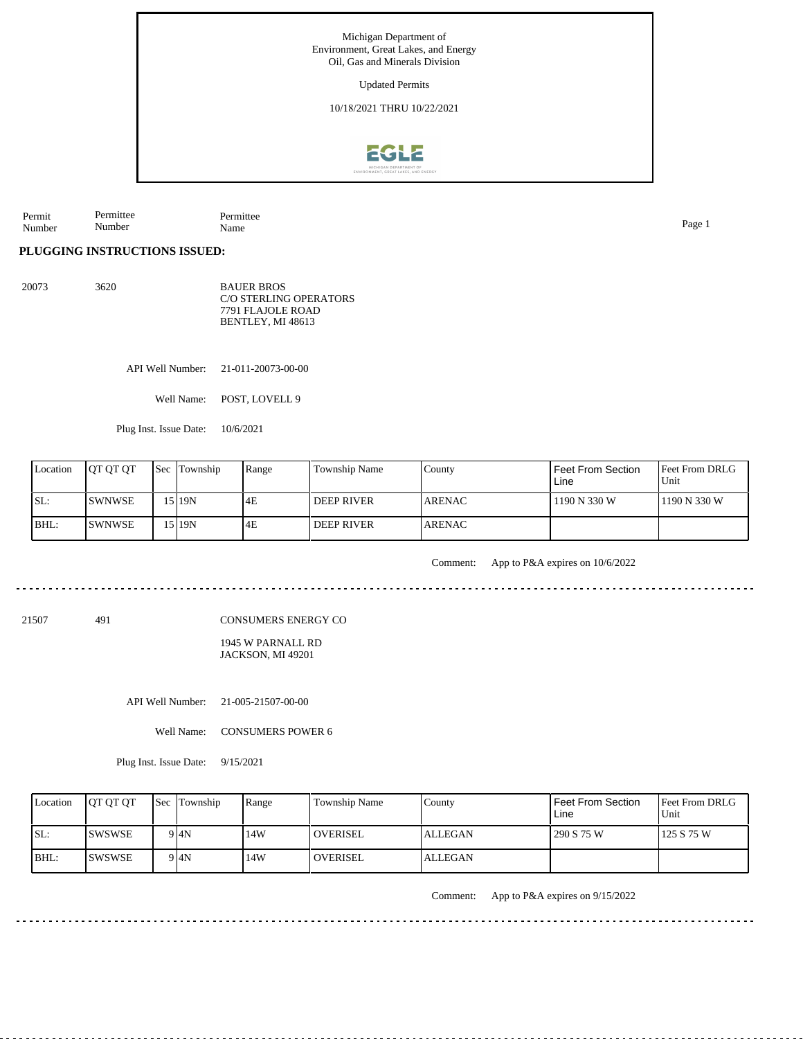Michigan Department of Environment, Great Lakes, and Energy Oil, Gas and Minerals Division Updated Permits 10/18/2021 THRU 10/22/2021**EGLE** 

Permit Number Permittee Number Permittee Name Page 1

**PLUGGING INSTRUCTIONS ISSUED:**

20073 3620

BAUER BROS C/O STERLING OPERATORS 7791 FLAJOLE ROAD BENTLEY, MI 48613

API Well Number: 21-011-20073-00-00

Well Name: POST, LOVELL 9

Plug Inst. Issue Date: 10/6/2021

| Location | <b>IOT OT OT</b> | <b>Sec Township</b> | Range | Township Name     | County         | I Feet From Section<br>Line | <b>Feet From DRLG</b><br>l Unit |
|----------|------------------|---------------------|-------|-------------------|----------------|-----------------------------|---------------------------------|
| ISL:     | ISWNWSE          | 15 I 19N            | 4E    | <b>DEEP RIVER</b> | <b>LARENAC</b> | 1190 N 330 W                | 11190 N 330 W                   |
| BHL:     | ISWNWSE          | 15 I 19N            | 4E    | <b>DEEP RIVER</b> | <b>ARENAC</b>  |                             |                                 |

Comment: App to P&A expires on 10/6/2022

CONSUMERS ENERGY CO

1945 W PARNALL RD JACKSON, MI 49201

API Well Number: 21-005-21507-00-00

Well Name: CONSUMERS POWER 6

Plug Inst. Issue Date: 9/15/2021

| Location | <b>OT OT OT</b> | <b>Sec</b> Township | Range | <b>Township Name</b> | County  | <b>Feet From Section</b><br>Line | <b>Feet From DRLG</b><br>Unit |
|----------|-----------------|---------------------|-------|----------------------|---------|----------------------------------|-------------------------------|
| SL:      | ISWSWSE         | 9 <sup>4N</sup>     | 14W   | <b>OVERISEL</b>      | ALLEGAN | 290 S 75 W                       | 125 S 75 W                    |
| $IBHL$ : | <b>ISWSWSE</b>  | 9 I4N               | 14W   | <b>OVERISEL</b>      | ALLEGAN |                                  |                               |

Comment: App to P&A expires on 9/15/2022

21507 491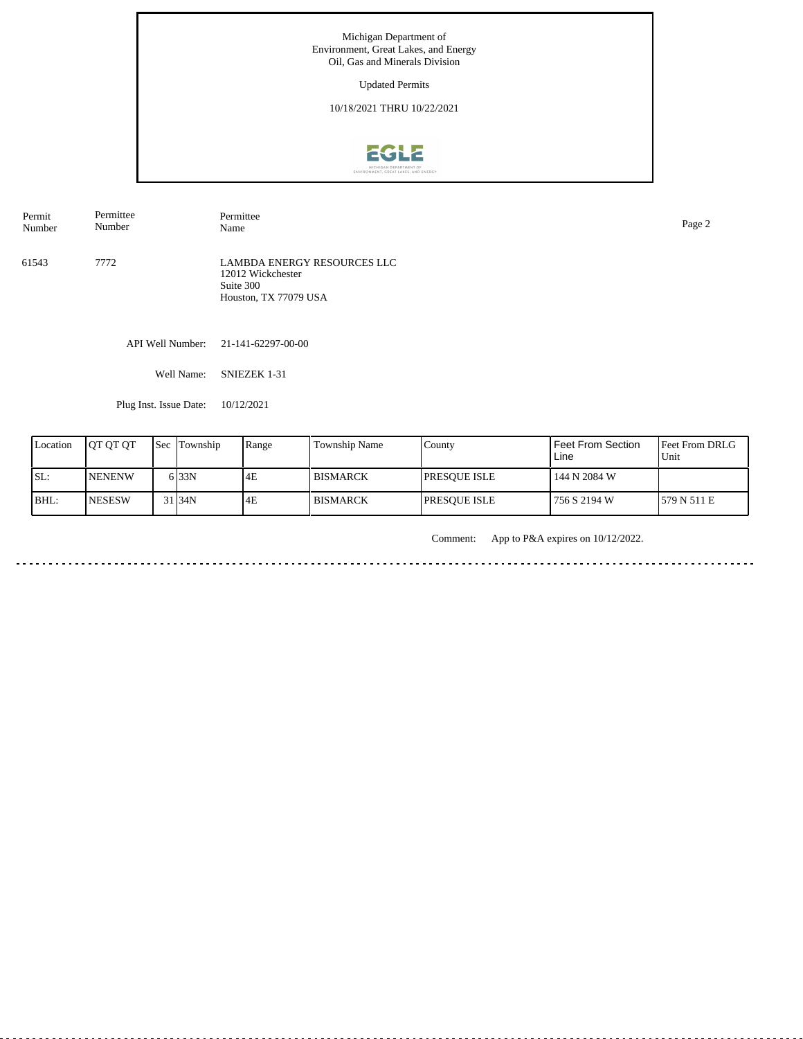Updated Permits

10/18/2021 THRU 10/22/2021



61543 7772 LAMBDA ENERGY RESOURCES LLC Permit Number Permittee Number Permittee<br>Name Name Page 2

12012 Wickchester Suite 300 Houston, TX 77079 USA

API Well Number: 21-141-62297-00-00

Well Name: SNIEZEK 1-31

Plug Inst. Issue Date: 10/12/2021

| Location | <b>IOT OT OT</b> | l Sec | Township          | Range | Township Name | County               | Feet From Section<br>Line | Feet From DRLG<br>Unit |
|----------|------------------|-------|-------------------|-------|---------------|----------------------|---------------------------|------------------------|
| SL:      | <b>NENENW</b>    |       | 6 <sub>33N</sub>  | 4E    | I BISMARCK    | <b>IPRESOUE ISLE</b> | 144 N 2084 W              |                        |
| BHL:     | <b>NESESW</b>    |       | 31 <sub>34N</sub> | 4E    | l BISMARCK    | <b>IPRESOUE ISLE</b> | 756 S 2194 W              | 1579 N 511 E           |

Comment: App to P&A expires on 10/12/2022.

. . . . . . . ت با با با با با با با با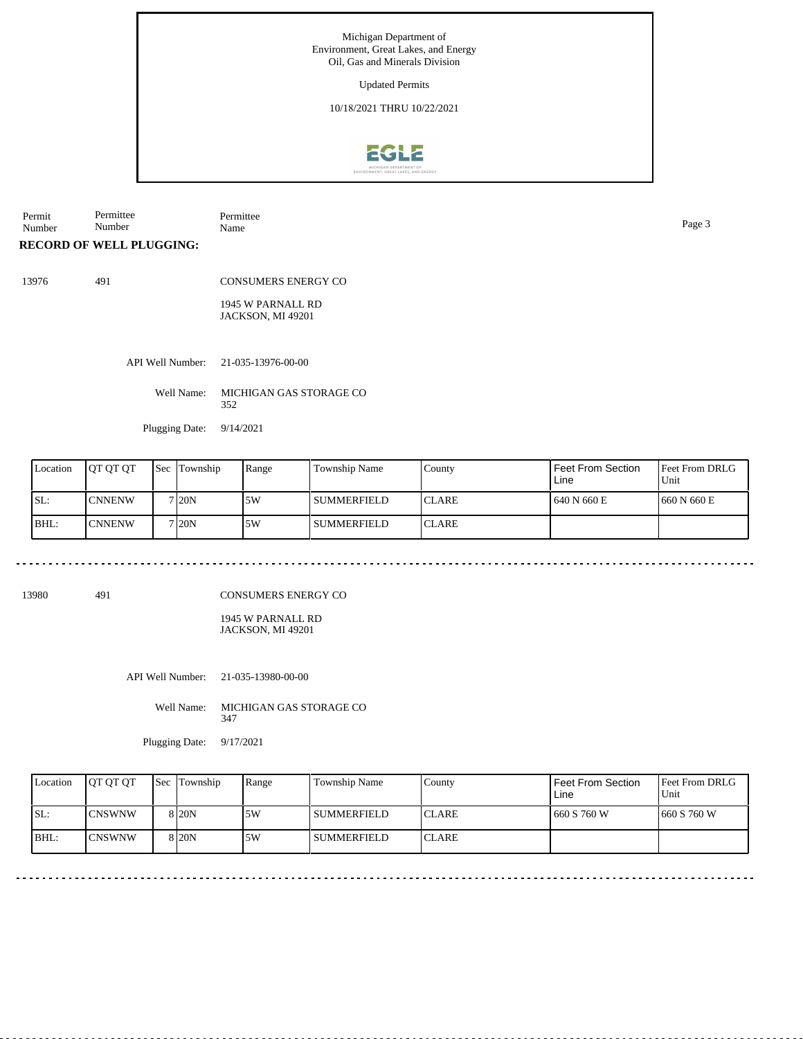Updated Permits

10/18/2021 THRU 10/22/2021



Permit Number Permittee Number Permittee Name Page 3

**RECORD OF WELL PLUGGING:**

13976 491

CONSUMERS ENERGY CO 1945 W PARNALL RD

JACKSON, MI 49201

API Well Number: 21-035-13976-00-00

Well Name: MICHIGAN GAS STORAGE CO 352

Plugging Date: 9/14/2021

| Location   | <b>IOT OT OT</b> | <b>Sec</b> Township | Range | <b>Township Name</b> | County        | <b>Feet From Section</b><br>Line | <b>Feet From DRLG</b><br>Unit |
|------------|------------------|---------------------|-------|----------------------|---------------|----------------------------------|-------------------------------|
| <b>SL:</b> | <b>CNNENW</b>    | 7120N               | ا 5W  | l summerfield        | <b>ICLARE</b> | 640 N 660 E                      | 1660 N 660 E                  |
| BHL:       | <b>ICNNENW</b>   | 7 <sub>120</sub> N  | 5W    | l summerfield        | <b>ICLARE</b> |                                  |                               |

13980 491

CONSUMERS ENERGY CO

1945 W PARNALL RD JACKSON, MI 49201

API Well Number: 21-035-13980-00-00

Well Name: MICHIGAN GAS STORAGE CO 347

Plugging Date: 9/17/2021

| Location | <b>IOT OT OT</b> | <b>Sec</b> Township | Range | Township Name      | County        | l Feet From Section<br>Line | <b>Feet From DRLG</b><br>Unit |
|----------|------------------|---------------------|-------|--------------------|---------------|-----------------------------|-------------------------------|
| ISL:     | <b>CNSWNW</b>    | 8 I20N              | 5W    | <b>SUMMERFIELD</b> | <b>ICLARE</b> | 1660 S 760 W                | 1660 S 760 W                  |
| $IBHL$ : | ICNSWNW          | 8 I 20 N            | 5W    | l SUMMERFIELD      | <b>ICLARE</b> |                             |                               |

 $\sim$   $\sim$  $- - - - - -$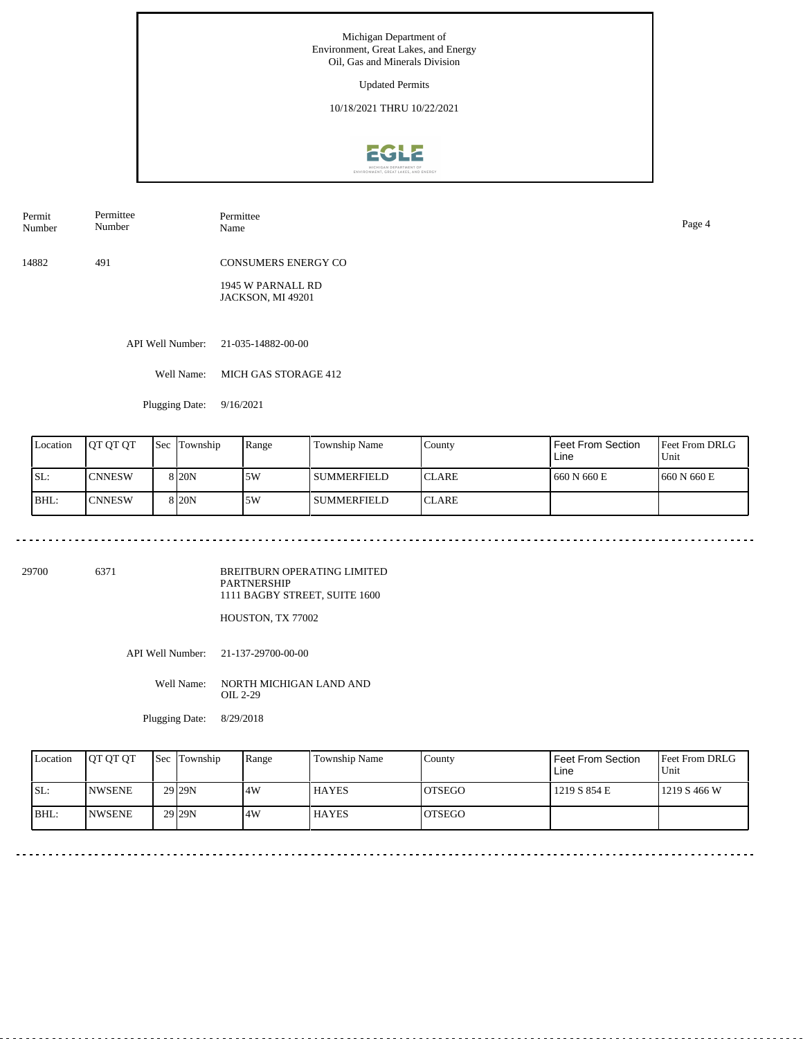Updated Permits

10/18/2021 THRU 10/22/2021



Permit Number Permittee Number

Permittee Name Page 4

14882 491 CONSUMERS ENERGY CO

> 1945 W PARNALL RD JACKSON, MI 49201

API Well Number: 21-035-14882-00-00

Well Name: MICH GAS STORAGE 412

Plugging Date: 9/16/2021

| Location | <b>IOT OT OT</b> | Sec | Township          | Range | Township Name | County        | Feet From Section<br>Line | Feet From DRLG<br>Unit |
|----------|------------------|-----|-------------------|-------|---------------|---------------|---------------------------|------------------------|
| SL:      | <b>CNNESW</b>    |     | 8 <sub>20</sub> N | 15W   | l summerfield | <b>ICLARE</b> | 1 660 N 660 E             | 1660 N 660 E           |
| BHL:     | <b>CNNESW</b>    |     | 8 <sub>20</sub> N | .5W   | l summerfield | <b>ICLARE</b> |                           |                        |

29700 6371

BREITBURN OPERATING LIMITED PARTNERSHIP 1111 BAGBY STREET, SUITE 1600

HOUSTON, TX 77002

API Well Number: 21-137-29700-00-00

Well Name: NORTH MICHIGAN LAND AND OIL 2-29

Plugging Date: 8/29/2018

| Location | <b>OT OT OT</b> | <b>Sec</b> Township | Range | Township Name | County         | Feet From Section<br>Line | <b>Feet From DRLG</b><br>Unit |
|----------|-----------------|---------------------|-------|---------------|----------------|---------------------------|-------------------------------|
| SL:      | <b>INWSENE</b>  | 29 <sub>29N</sub>   | 4W    | <b>HAYES</b>  | <b>IOTSEGO</b> | 1219 S 854 E              | 1219S466W                     |
| BHL:     | <b>INWSENE</b>  | 29 <sub>29N</sub>   | 4W    | <b>HAYES</b>  | <b>IOTSEGO</b> |                           |                               |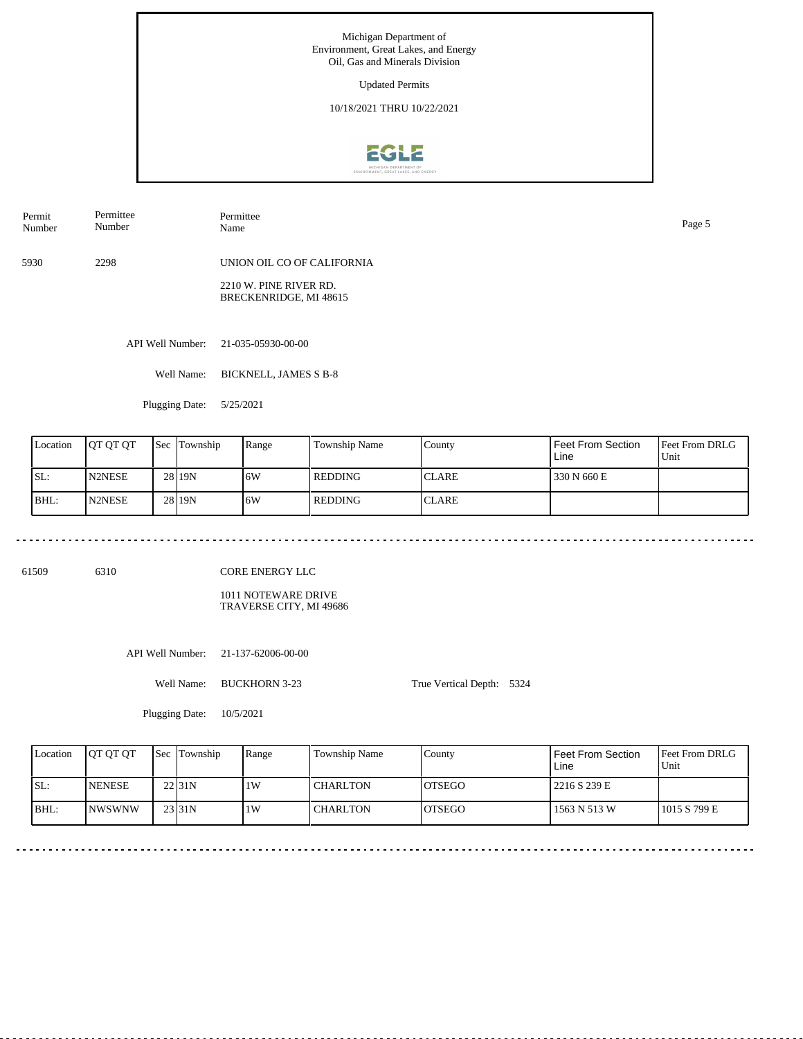Updated Permits

10/18/2021 THRU 10/22/2021



Permit Number Permittee Number

5930 2298 UNION OIL CO OF CALIFORNIA

> 2210 W. PINE RIVER RD. BRECKENRIDGE, MI 48615

API Well Number: 21-035-05930-00-00

Well Name: BICKNELL, JAMES S B-8

Permittee

Plugging Date: 5/25/2021

| Location | <b>IOT OT OT</b> | Sec | Township | Range | Township Name | County       | Feet From Section<br>Line | <b>Feet From DRLG</b><br>Unit |
|----------|------------------|-----|----------|-------|---------------|--------------|---------------------------|-------------------------------|
| SL:      | N2NESE           |     | 28 19N   | 16W   | l REDDING     | <b>CLARE</b> | 330 N 660 E               |                               |
| BHL:     | <b>N2NESE</b>    |     | 28 19N   | 16W   | l REDDING     | <b>CLARE</b> |                           |                               |

61509 6310

CORE ENERGY LLC

1011 NOTEWARE DRIVE TRAVERSE CITY, MI 49686

API Well Number: 21-137-62006-00-00

Well Name: BUCKHORN 3-23

True Vertical Depth: 5324

Plugging Date: 10/5/2021

Feet From DRLG Unit 1015 S 799 E 2216 S 239 E 1563 N 513 W Feet From Section Line County OTSEGO OTSEGO Location QT QT QT Sec Township Range Township Name SL: BHL: NENESE NWSWNW Township 22 31N 23 31N 1W 1W CHARLTON **CHARLTON** 

Name Page 5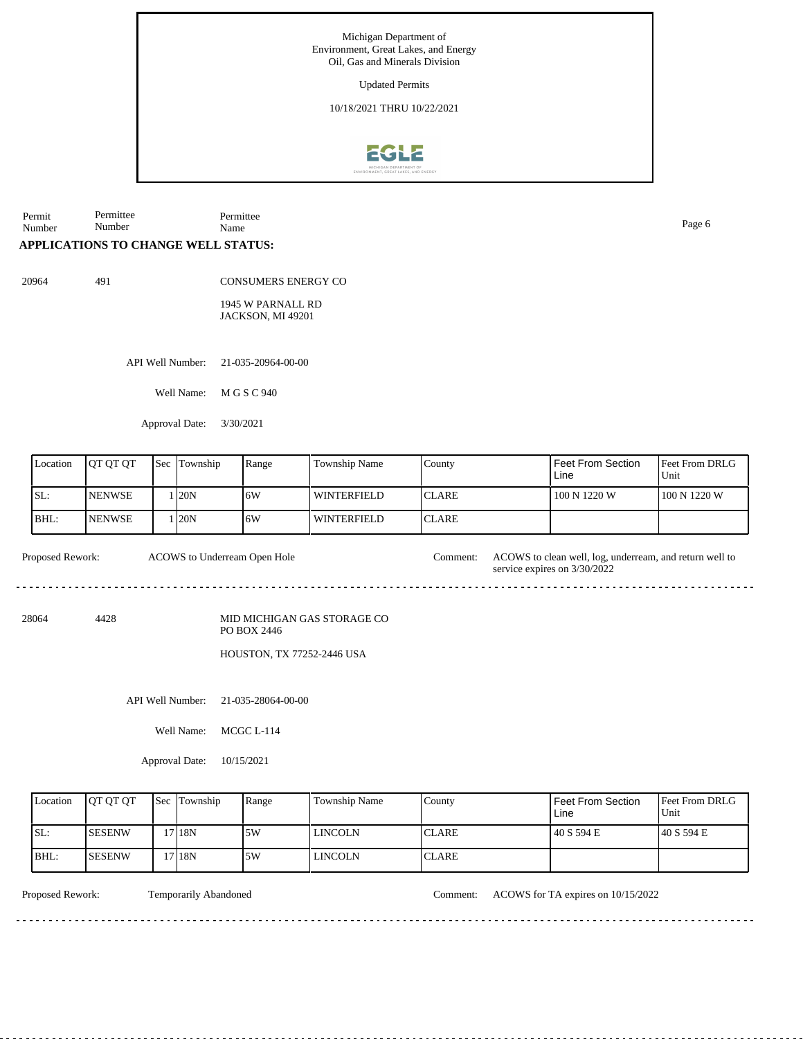Updated Permits

10/18/2021 THRU 10/22/2021



Permit Number Permittee Number Permittee Name Page 6

## **APPLICATIONS TO CHANGE WELL STATUS:**

20964 491

CONSUMERS ENERGY CO

1945 W PARNALL RD JACKSON, MI 49201

API Well Number: 21-035-20964-00-00

Well Name: M G S C 940

Approval Date: 3/30/2021

| Location | <b>JOT OT OT</b> | <b>Sec</b> Township | Range | <b>Township Name</b> | County        | <b>Feet From Section</b><br>Line | <b>Feet From DRLG</b><br>Unit |
|----------|------------------|---------------------|-------|----------------------|---------------|----------------------------------|-------------------------------|
| SL:      | <b>INENWSE</b>   | 120N                | 16W   | <b>WINTERFIELD</b>   | <b>ICLARE</b> | 100 N 1220 W                     | 100 N 1220 W                  |
| BHL:     | <b>INENWSE</b>   | 120N                | 16W   | <b>WINTERFIELD</b>   | <b>ICLARE</b> |                                  |                               |

Proposed Rework: ACOWS to clean well, log, underream, and return well to ACOWS to Underream Open Hole

28064 4428

MID MICHIGAN GAS STORAGE CO PO BOX 2446

HOUSTON, TX 77252-2446 USA

API Well Number: 21-035-28064-00-00

Well Name: MCGC L-114

Approval Date: 10/15/2021

| Location | <b>OT OT OT</b> | <b>Sec Township</b> | Range | Township Name  | County       | Feet From Section<br>Line | <b>Feet From DRLG</b><br>Unit |
|----------|-----------------|---------------------|-------|----------------|--------------|---------------------------|-------------------------------|
| ISL:     | <b>ISESENW</b>  | 17 18N              | .5W   | <b>LINCOLN</b> | <b>CLARE</b> | 40 S 594 E                | 140 S 594 E                   |
| BHL:     | <b>ISESENW</b>  | 17 18N              | 5W    | <b>LINCOLN</b> | <b>CLARE</b> |                           |                               |

Proposed Rework: Temporarily Abandoned Comment: ACOWS for TA expires on 10/15/2022

service expires on 3/30/2022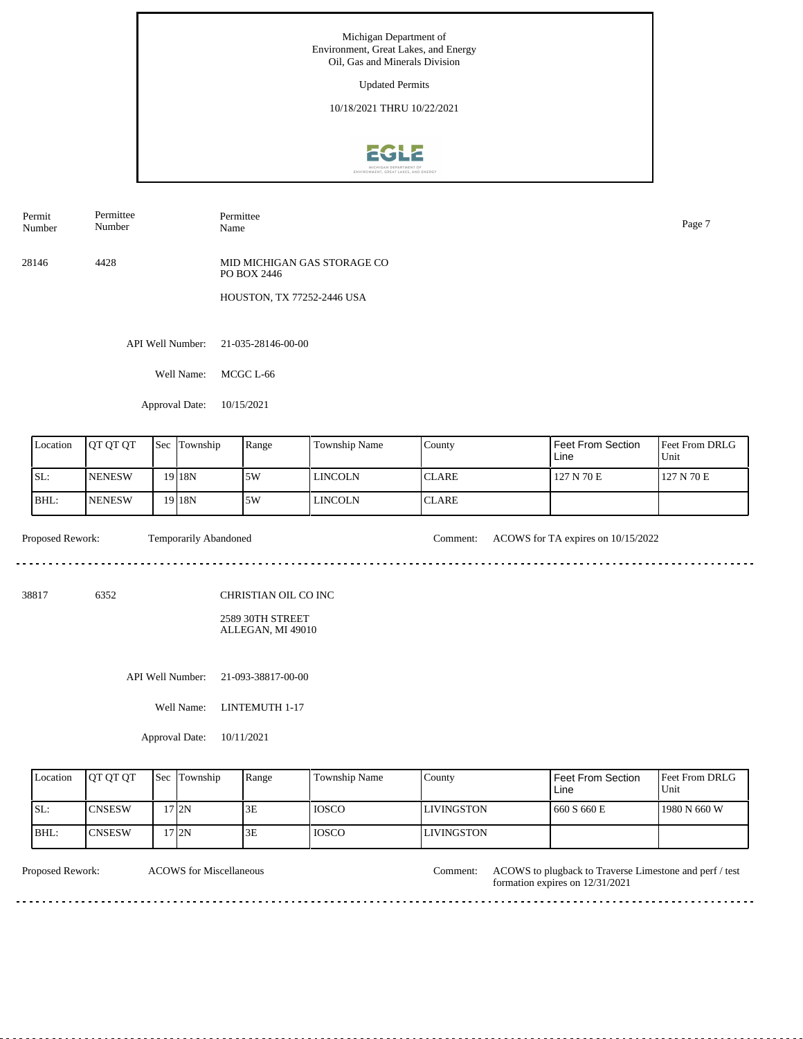Updated Permits

10/18/2021 THRU 10/22/2021



| Permit | Permittee | Permittee |
|--------|-----------|-----------|
| Number | Number    | Name      |

28146 4428 MID MICHIGAN GAS STORAGE CO PO BOX 2446

HOUSTON, TX 77252-2446 USA

API Well Number: 21-035-28146-00-00

Well Name: MCGC L-66

Approval Date: 10/15/2021

| Location | <b>JOT OT OT</b> | <b>Sec</b> Township | Range | Township Name | County        | Feet From Section<br>Line | <b>Feet From DRLG</b><br>Unit |
|----------|------------------|---------------------|-------|---------------|---------------|---------------------------|-------------------------------|
| ISL:     | <b>INENESW</b>   | 19 I 18 N           | 5W    | l lincoln     | <b>ICLARE</b> | 127 N 70 E                | 127 N 70 E                    |
| BHL:     | <b>INENESW</b>   | 19 <sub>18N</sub>   | 5W    | l lincoln     | <b>ICLARE</b> |                           |                               |

<u>. . . . . . . . . . . . . . . . .</u>

بالمرابط بالمربط

Proposed Rework: Temporarily Abandoned Comment: ACOWS for TA expires on 10/15/2022

38817 6352

CHRISTIAN OIL CO INC

2589 30TH STREET ALLEGAN, MI 49010

API Well Number: 21-093-38817-00-00

Well Name: LINTEMUTH 1-17

Approval Date: 10/11/2021

| Location | <b>OT OT OT</b> | <b>Sec</b> Township | Range | Township Name | County             | Feet From Section<br>Line | <b>Feet From DRLG</b><br>Unit |
|----------|-----------------|---------------------|-------|---------------|--------------------|---------------------------|-------------------------------|
| ISL:     | <b>ICNSESW</b>  | 712N                | 3E    | <b>TOSCO</b>  | <b>ILIVINGSTON</b> | 1660 S 660 E              | 1980 N 660 W                  |
| IBHL:    | <b>CNSESW</b>   | 17 I 2N             | 3E    | <b>IOSCO</b>  | LIVINGSTON         |                           |                               |

ACOWS for Miscellaneous

Proposed Rework: ACOWS to plugback to Traverse Limestone and perf / test formation expires on 12/31/2021

<u>. . . . . . . . . . .</u>

Name Page 7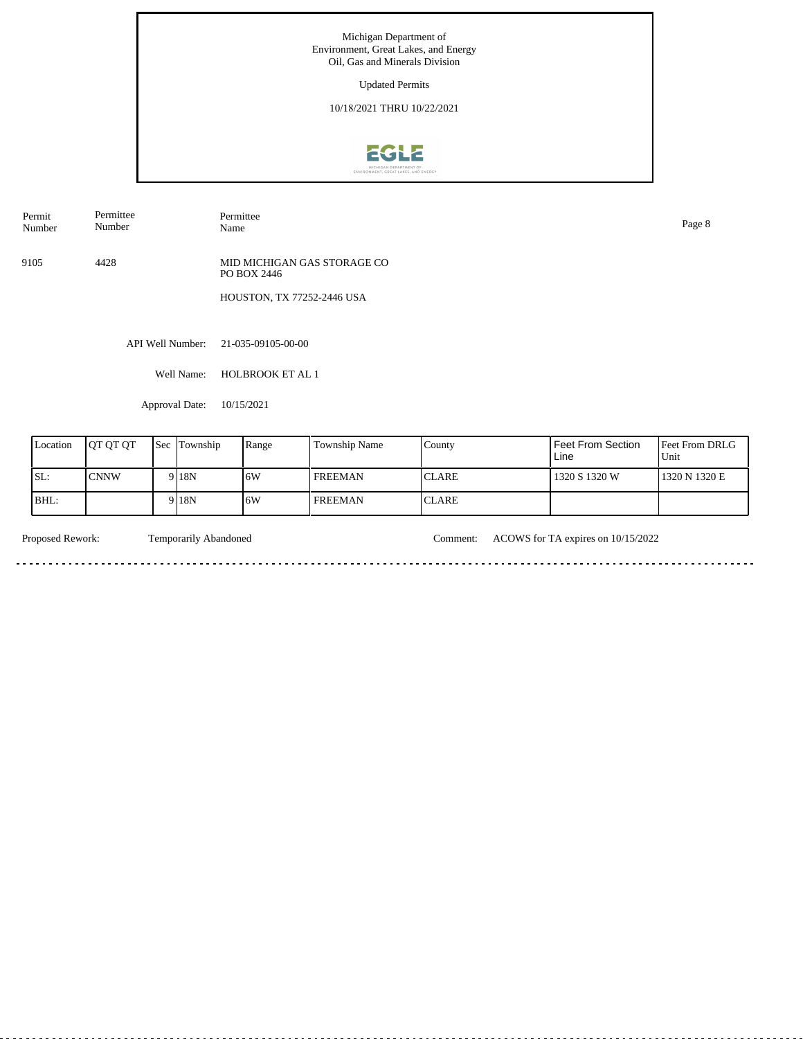Updated Permits

10/18/2021 THRU 10/22/2021



| Permit<br>the contract of the contract of the<br>Number | Permitte<br>$\sim$ $\sim$<br>Numbe | Permittee<br>Name | Page |
|---------------------------------------------------------|------------------------------------|-------------------|------|
|---------------------------------------------------------|------------------------------------|-------------------|------|

9105 4428 MID MICHIGAN GAS STORAGE CO PO BOX 2446

HOUSTON, TX 77252-2446 USA

API Well Number: 21-035-09105-00-00

Well Name: HOLBROOK ET AL 1

Approval Date: 10/15/2021

| Location | <b>IOT OT OT</b> | <b>Sec Township</b> | Range | <b>Township Name</b> | County        | Feet From Section<br>Line | Feet From DRLG<br>Unit |
|----------|------------------|---------------------|-------|----------------------|---------------|---------------------------|------------------------|
| SL:      | <b>CNNW</b>      | 9 <sup>18</sup> N   | 16W   | <b>FREEMAN</b>       | <b>ICLARE</b> | 1320 S 1320 W             | 1320 N 1320 E          |
| $BHL$ :  |                  | 918 <sub>N</sub>    | 16W   | <b>FREEMAN</b>       | <b>ICLARE</b> |                           |                        |

 $\sim$   $\sim$ 

Proposed Rework: Temporarily Abandoned Comment: ACOWS for TA expires on 10/15/2022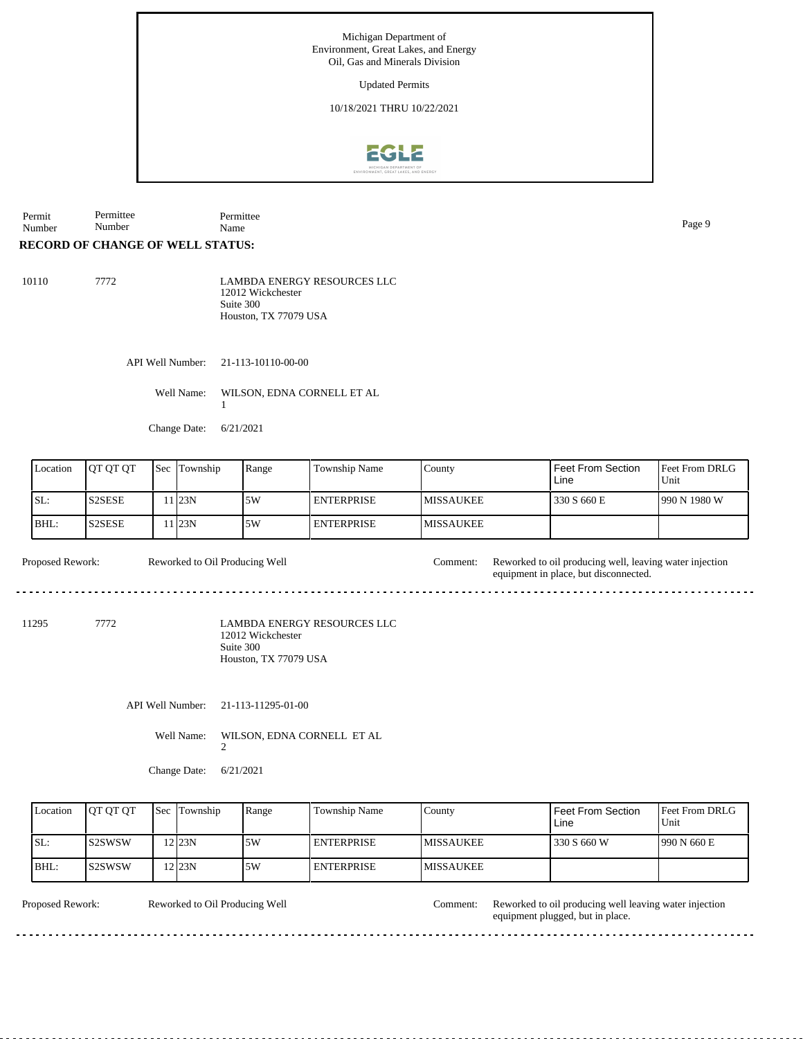Updated Permits

10/18/2021 THRU 10/22/2021



Permit Number Permittee Number Permittee Name Page 9

## **RECORD OF CHANGE OF WELL STATUS:**

| 10110 | 7772 | <b>LAMBDA ENERGY RESOURCES LLC</b> |
|-------|------|------------------------------------|
|       |      | 12012 Wickchester                  |
|       |      | Suite 300                          |
|       |      | Houston, TX 77079 USA              |

API Well Number: 21-113-10110-00-00

Well Name: WILSON, EDNA CORNELL ET AL 1

Change Date: 6/21/2021

| Location | <b>IOT OT OT</b>                | Sec | Township | Range | Township Name | County            | Feet From Section<br>Line | <b>Feet From DRLG</b><br>Unit |
|----------|---------------------------------|-----|----------|-------|---------------|-------------------|---------------------------|-------------------------------|
| SL:      | S <sub>2</sub> SE <sub>SE</sub> |     | l I23N   | 5W    | I ENTERPRISE  | <b>IMISSAUKEE</b> | 330 S 660 E               | 990 N 1980 W                  |
| BHL:     | S2SESE                          |     | l I23N   | 5W    | I ENTERPRISE  | <b>IMISSAUKEE</b> |                           |                               |

Proposed Rework: Reworked to Oil Producing Well Comment: Reworked to oil producing well, leaving water injection

11295 7772

LAMBDA ENERGY RESOURCES LLC 12012 Wickchester Suite 300 Houston, TX 77079 USA

API Well Number: 21-113-11295-01-00

Reworked to Oil Producing Well

Well Name: WILSON, EDNA CORNELL ET AL

2

Change Date: 6/21/2021

| Location | <b>IOT OT OT</b> | <b>Sec Township</b> | Range | Township Name     | County            | <b>Feet From Section</b><br>Line | <b>Feet From DRLG</b><br>Unit |
|----------|------------------|---------------------|-------|-------------------|-------------------|----------------------------------|-------------------------------|
| SL:      | <b>IS2SWSW</b>   | $2$ 23N             | .5W   | <b>ENTERPRISE</b> | <b>IMISSAUKEE</b> | 330 S 660 W                      | 1990 N 660 E                  |
| BHL:     | IS2SWSW          | 2 23N               | 5W    | <b>ENTERPRISE</b> | <b>IMISSAUKEE</b> |                                  |                               |

Reworked to Oil Producing Well

Proposed Rework: Reworked to Oil Producing Well Comment: Reworked to oil producing well leaving water injection equipment plugged, but in place.

equipment in place, but disconnected.

 $- - - - -$ 

 $- - - - - -$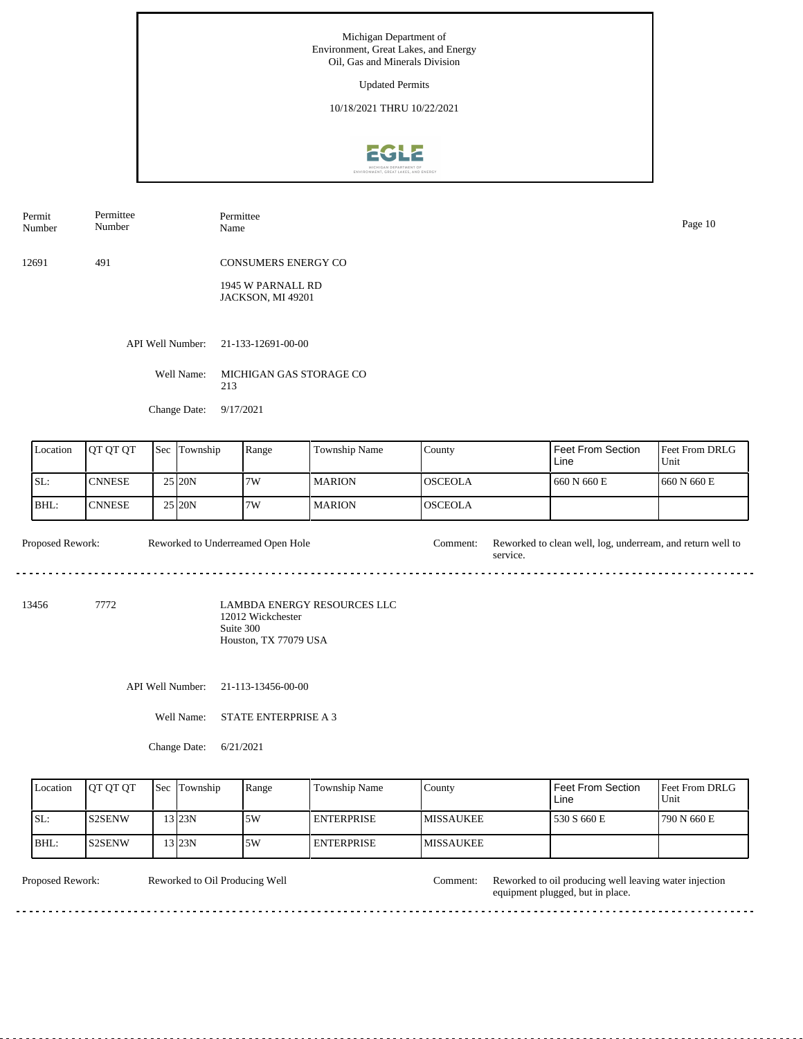Updated Permits

10/18/2021 THRU 10/22/2021



Permit Number Permittee Number

Permittee Name Page 10

12691 491 CONSUMERS ENERGY CO

> 1945 W PARNALL RD JACKSON, MI 49201

API Well Number: 21-133-12691-00-00

Well Name: MICHIGAN GAS STORAGE CO 213

Change Date: 9/17/2021

| Location | <b>IOT OT OT</b> | <b>Sec Township</b> | Range | <b>Township Name</b> | County          | I Feet From Section<br>Line | Feet From DRLG<br>Unit |
|----------|------------------|---------------------|-------|----------------------|-----------------|-----------------------------|------------------------|
| SL:      | <b>ICNNESE</b>   | $25$ <sub>20N</sub> | 7W    | <b>MARION</b>        | IOSCEOLA        | 1660 N 660 E                | 1660 N 660 E           |
| BHL:     | <b>ICNNESE</b>   | $25$ <sub>20N</sub> | 7W    | <b>MARION</b>        | <b>IOSCEOLA</b> |                             |                        |

Proposed Rework: Reworked to Underreamed Open Hole Comment: Reworked to clean well, log, underream, and return well to service. Reworked to Underreamed Open Hole

13456 7772

LAMBDA ENERGY RESOURCES LLC 12012 Wickchester Suite 300 Houston, TX 77079 USA

API Well Number: 21-113-13456-00-00

Well Name: STATE ENTERPRISE A 3

Change Date: 6/21/2021

| Location | <b>IOT OT OT</b> | <b>Sec Township</b> | Range | Township Name     | Countv            | Feet From Section<br>Line | <b>Feet From DRLG</b><br>Unit |
|----------|------------------|---------------------|-------|-------------------|-------------------|---------------------------|-------------------------------|
| SL:      | IS2SENW          | 13123N              | .5W   | <b>ENTERPRISE</b> | <b>IMISSAUKEE</b> | 530 S 660 E               | 1790 N 660 E                  |
| BHL:     | IS2SENW          | 13 23N              | .5W   | <b>ENTERPRISE</b> | <b>IMISSAUKEE</b> |                           |                               |

Reworked to Oil Producing Well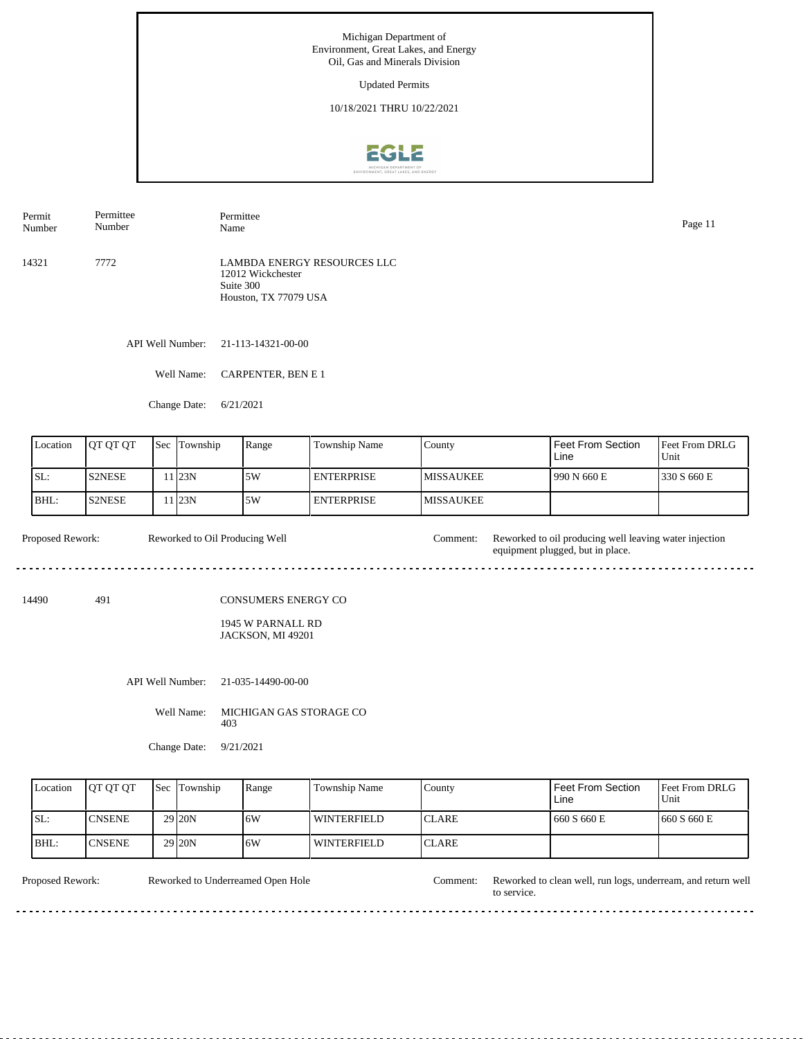Updated Permits

10/18/2021 THRU 10/22/2021



API Well Number: 21-113-14321-00-00 14321 7772 LAMBDA ENERGY RESOURCES LLC 12012 Wickchester Suite 300 Houston, TX 77079 USA Permit Number Permittee Number Permittee Name Page 11

Well Name: CARPENTER, BEN E 1

Change Date: 6/21/2021

| Location | <b>JOT OT OT</b> | <b>Sec</b> Township | Range | <b>Township Name</b> | County            | Feet From Section<br>Line | Feet From DRLG<br>Unit |
|----------|------------------|---------------------|-------|----------------------|-------------------|---------------------------|------------------------|
| ISL:     | <b>S2NESE</b>    | 1 <sub>23N</sub>    | 5W    | I ENTERPRISE.        | <b>IMISSAUKEE</b> | 990 N 660 E               | 1330 S 660 E           |
| BHL:     | <b>S2NESE</b>    | 1 <sub>23N</sub>    | 5W    | <b>ENTERPRISE</b>    | <b>IMISSAUKEE</b> |                           |                        |

Proposed Rework: Reworked to Oil Producing Well Comment: Reworked to oil producing well leaving water injection Reworked to Oil Producing Well equipment plugged, but in place. 

14490 491

CONSUMERS ENERGY CO

1945 W PARNALL RD JACKSON, MI 49201

API Well Number: 21-035-14490-00-00

Well Name: MICHIGAN GAS STORAGE CO 403

Change Date: 9/21/2021

| Location | <b>IOT OT OT</b> | <b>Sec Township</b> | Range | Township Name      | County        | <b>Feet From Section</b><br>Line | <b>Feet From DRLG</b><br>Unit |
|----------|------------------|---------------------|-------|--------------------|---------------|----------------------------------|-------------------------------|
| ISL:     | <b>ICNSENE</b>   | 29 <sub>20N</sub>   | 16W   | WINTERFIELD        | <b>ICLARE</b> | 660 S 660 E                      | 1660 S 660 E                  |
| BHL:     | <b>ICNSENE</b>   | 29 <sub>20N</sub>   | 16W   | <b>WINTERFIELD</b> | <b>ICLARE</b> |                                  |                               |

Reworked to Underreamed Open Hole

Proposed Rework: Reworked to Underreamed Open Hole Comment: Reworked to clean well, run logs, underream, and return well to service.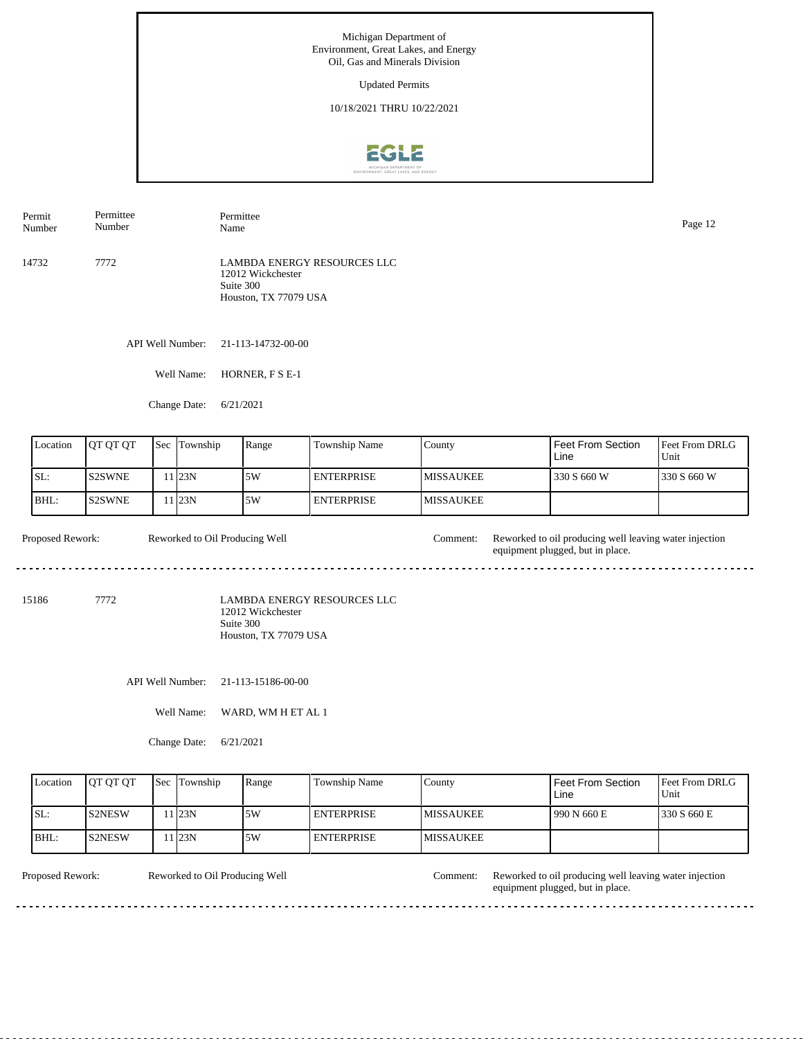Updated Permits

10/18/2021 THRU 10/22/2021



API Well Number: 21-113-14732-00-00 14732 7772 LAMBDA ENERGY RESOURCES LLC 12012 Wickchester Suite 300 Houston, TX 77079 USA Permit Number Permittee Number Permittee Name Page 12

Well Name: HORNER, F S E-1

Change Date: 6/21/2021

| Location | <b>IOT OT OT</b> | Sec | Township         | Range | Township Name      | County            | ' Feet From Section<br>Line | Feet From DRLG<br>Unit |
|----------|------------------|-----|------------------|-------|--------------------|-------------------|-----------------------------|------------------------|
| ISL:     | IS2SWNE          |     | 1 <sub>23N</sub> | .5W   | I ENTERPRISE.      | <b>IMISSAUKEE</b> | 330 S 660 W                 | 330 S 660 W            |
| BHL:     | IS2SWNE          |     | 1 <sub>23N</sub> | .5W   | <b>LENTERPRISE</b> | <b>IMISSAUKEE</b> |                             |                        |

Proposed Rework: Reworked to Oil Producing Well Comment: Reworked to oil producing well leaving water injection Reworked to Oil Producing Well equipment plugged, but in place.  $\frac{1}{2} \left( \frac{1}{2} \right) \left( \frac{1}{2} \right) \left( \frac{1}{2} \right) \left( \frac{1}{2} \right) \left( \frac{1}{2} \right)$ 

15186 7772

LAMBDA ENERGY RESOURCES LLC 12012 Wickchester Suite 300 Houston, TX 77079 USA

API Well Number: 21-113-15186-00-00

Well Name: WARD, WM H ET AL 1

Change Date: 6/21/2021

| Location | <b>IOT OT OT</b> | <b>Sec Township</b> | Range | <b>Township Name</b> | Countv            | Feet From Section<br>Line | <b>Feet From DRLG</b><br>Unit |
|----------|------------------|---------------------|-------|----------------------|-------------------|---------------------------|-------------------------------|
| ISL:     | IS2NESW          | 1 23N               | .5W   | I ENTERPRISE         | <b>IMISSAUKEE</b> | 990 N 660 E               | 1330 S 660 E                  |
| BHL:     | <b>S2NESW</b>    | 1123N               | .5W   | <b>I ENTERPRISE</b>  | <b>MISSAUKEE</b>  |                           |                               |

Reworked to Oil Producing Well

Proposed Rework: Reworked to Oil Producing Well Comment: Reworked to oil producing well leaving water injection equipment plugged, but in place.

 $- - - - - -$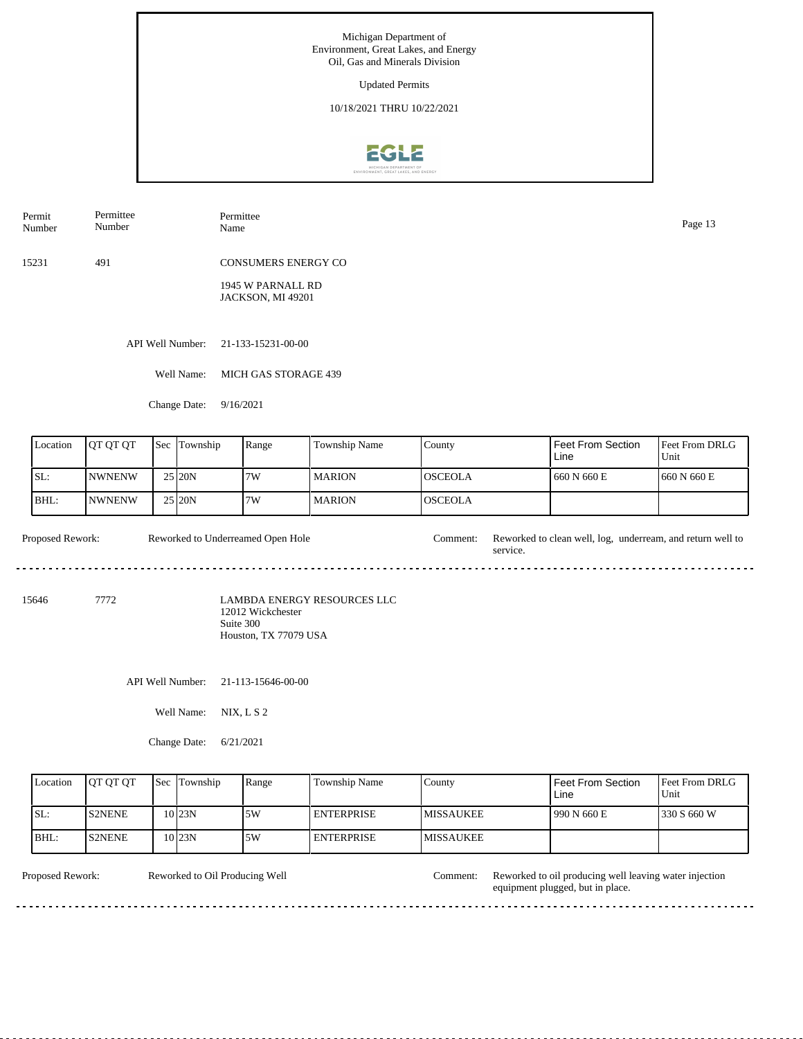Updated Permits

10/18/2021 THRU 10/22/2021



Permit Number Permittee Number Permittee Page 13<br>Name Page 13

15231 491 CONSUMERS ENERGY CO

> 1945 W PARNALL RD JACKSON, MI 49201

API Well Number: 21-133-15231-00-00

Well Name: MICH GAS STORAGE 439

Change Date: 9/16/2021

| Location | <b>IOT OT OT</b> | <b>Sec</b> | Township            | Range | Township Name | County          | Feet From Section<br>Line | <b>Feet From DRLG</b><br>Unit |
|----------|------------------|------------|---------------------|-------|---------------|-----------------|---------------------------|-------------------------------|
| ISL:     | <b>INWNENW</b>   |            | 25 20N              | 7W    | <b>MARION</b> | IOSCEOLA        | 1 660 N 660 E             | 1660 N 660 E                  |
| BHL:     | <b>INWNENW</b>   |            | $25$ <sub>20N</sub> | 7W    | <b>MARION</b> | <b>IOSCEOLA</b> |                           |                               |

Proposed Rework: Reworked to clean well, log, underream, and return well to Reworked to Underreamed Open Hole service. 

15646 7772

LAMBDA ENERGY RESOURCES LLC 12012 Wickchester Suite 300 Houston, TX 77079 USA

API Well Number: 21-113-15646-00-00

Well Name: NIX, L S 2

Change Date: 6/21/2021

| Location | <b>IOT OT OT</b> | <b>Sec Township</b> | Range | Township Name     | County            | Feet From Section<br>Line | <b>Feet From DRLG</b><br>Unit |
|----------|------------------|---------------------|-------|-------------------|-------------------|---------------------------|-------------------------------|
| ISL:     | <b>IS2NENE</b>   | $10$ <sub>23N</sub> | 5W    | <b>ENTERPRISE</b> | <b>IMISSAUKEE</b> | 990 N 660 E               | 1330 S 660 W                  |
| BHL:     | <b>IS2NENE</b>   | 10 23N              | .5W   | <b>ENTERPRISE</b> | <b>IMISSAUKEE</b> |                           |                               |

<u>. . . . . . . . . . . .</u>

Reworked to Oil Producing Well

Proposed Rework: Reworked to Oil Producing Well Comment: Reworked to oil producing well leaving water injection equipment plugged, but in place.

 $- - - - - -$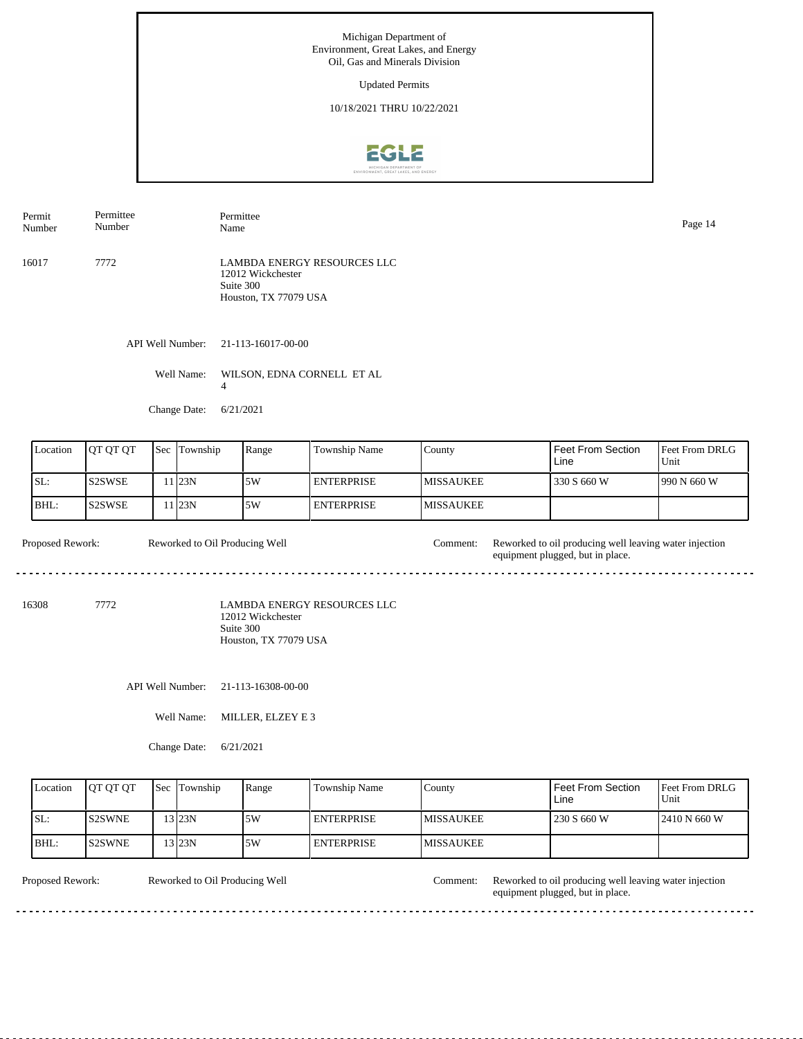Updated Permits

10/18/2021 THRU 10/22/2021



API Well Number: 21-113-16017-00-00 16017 7772 LAMBDA ENERGY RESOURCES LLC 12012 Wickchester Suite 300 Houston, TX 77079 USA Permit Number Permittee Number Permittee Name Page 14

> Well Name: WILSON, EDNA CORNELL ET AL 4

Change Date: 6/21/2021

| Location                                                                                                       | <b>QT QT QT</b>                 | Sec | Township | Range                          | Township Name     | County           | <b>Feet From Section</b><br>Line                                                           | Feet From DRLG<br>Unit |
|----------------------------------------------------------------------------------------------------------------|---------------------------------|-----|----------|--------------------------------|-------------------|------------------|--------------------------------------------------------------------------------------------|------------------------|
| SL:                                                                                                            | <b>IS2SWSE</b>                  |     | 11 23N   | 5W                             | <b>ENTERPRISE</b> | <b>MISSAUKEE</b> | 330 S 660 W                                                                                | 990 N 660 W            |
| BHL:                                                                                                           | S <sub>2</sub> SW <sub>SE</sub> |     | 11 23N   | 5W                             | <b>ENTERPRISE</b> | <b>MISSAUKEE</b> |                                                                                            |                        |
| Proposed Rework:                                                                                               |                                 |     |          | Reworked to Oil Producing Well |                   | Comment:         | Reworked to oil producing well leaving water injection<br>equipment plugged, but in place. |                        |
| <b>LAMBDA ENERGY RESOURCES LLC</b><br>16308<br>7772<br>12012 Wickchester<br>Suite 300<br>Houston, TX 77079 USA |                                 |     |          |                                |                   |                  |                                                                                            |                        |

API Well Number: 21-113-16308-00-00

Well Name: MILLER, ELZEY E 3

Change Date: 6/21/2021

|      | Location | <b>IOT OT OT</b> | <b>Sec</b> Township | Range | Township Name     | County            | <b>Feet From Section</b><br>Line | <b>Feet From DRLG</b><br>Unit |
|------|----------|------------------|---------------------|-------|-------------------|-------------------|----------------------------------|-------------------------------|
| ISL: |          | <b>IS2SWNE</b>   | 13123N              | 15W   | <b>ENTERPRISE</b> | <b>IMISSAUKEE</b> | 230 S 660 W                      | 12410 N 660 W                 |
| BHL: |          | IS2SWNE          | 13123N              | 15W   | <b>ENTERPRISE</b> | <b>IMISSAUKEE</b> |                                  |                               |

Reworked to Oil Producing Well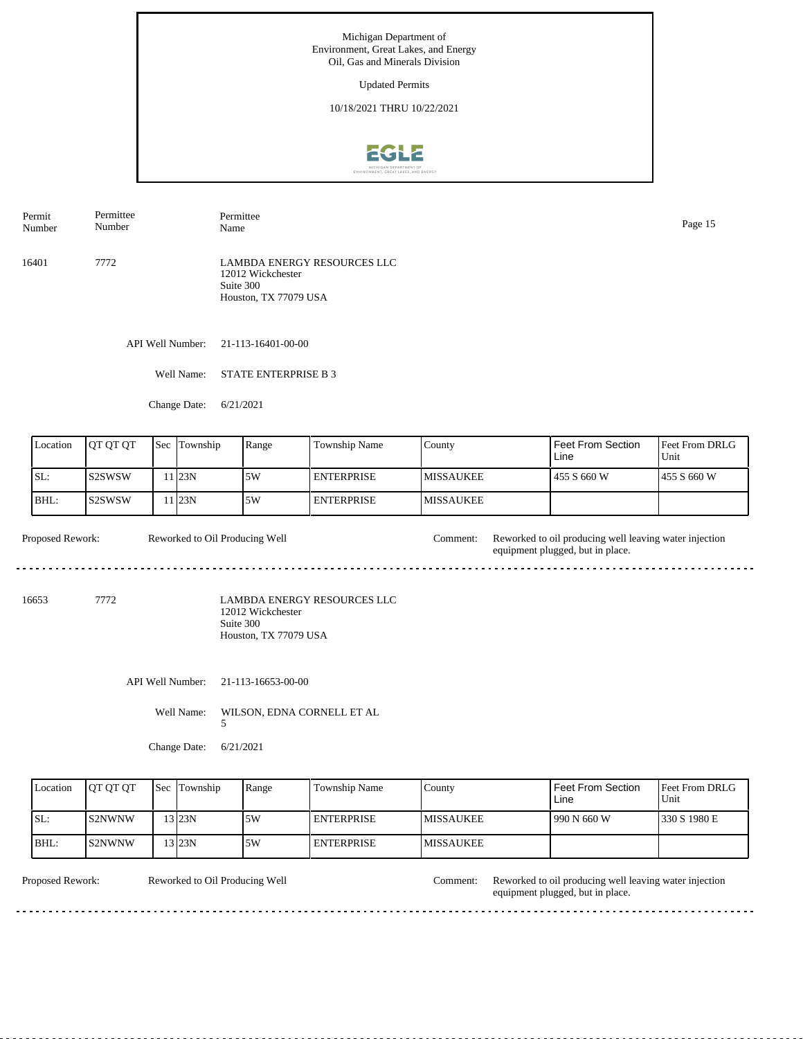Updated Permits

10/18/2021 THRU 10/22/2021



Permit Number Permittee Number

16401 7772 LAMBDA ENERGY RESOURCES LLC 12012 Wickchester Suite 300 Houston, TX 77079 USA

API Well Number: 21-113-16401-00-00

Well Name: STATE ENTERPRISE B 3

Permittee

Change Date: 6/21/2021

| Location | <b>OT OT OT</b> | Sec | Township | Range | Township Name     | County            | <b>Feet From Section</b><br>Line | <b>IFeet From DRLG</b><br>Unit |
|----------|-----------------|-----|----------|-------|-------------------|-------------------|----------------------------------|--------------------------------|
| ISL:     | IS2SWSW         |     | 1 23N    | .5W   | <b>ENTERPRISE</b> | <b>IMISSAUKEE</b> | 455 S 660 W                      | 1455 S 660 W                   |
| BHL:     | lS2SWSW         |     | 1 I23N   | 5W    | <b>ENTERPRISE</b> | <b>IMISSAUKEE</b> |                                  |                                |

Proposed Rework: Reworked to Oil Producing Well Comment: Reworked to oil producing well leaving water injection Reworked to Oil Producing Well equipment plugged, but in place. <u>. . . . . . . . . . .</u> <u>. . . . . . . . . . . . .</u>

16653 7772

LAMBDA ENERGY RESOURCES LLC 12012 Wickchester Suite 300 Houston, TX 77079 USA

API Well Number: 21-113-16653-00-00

Well Name: WILSON, EDNA CORNELL ET AL

5

Change Date: 6/21/2021

| Location | <b>IOT OT OT</b> | <b>Sec Township</b> | Range | Township Name       | County            | Feet From Section<br>Line | <b>IFeet From DRLG</b><br>Unit |
|----------|------------------|---------------------|-------|---------------------|-------------------|---------------------------|--------------------------------|
| ISL:     | IS2NWNW          | $13$ 23N            | .5W   | <b>I ENTERPRISE</b> | <b>IMISSAUKEE</b> | 990 N 660 W               | 1330 S 1980 E                  |
| BHL:     | IS2NWNW          | 13123N              | .5W   | <b>ENTERPRISE</b>   | <b>IMISSAUKEE</b> |                           |                                |

Reworked to Oil Producing Well

Proposed Rework: Reworked to Oil Producing Well Comment: Reworked to oil producing well leaving water injection equipment plugged, but in place.

Name Page 15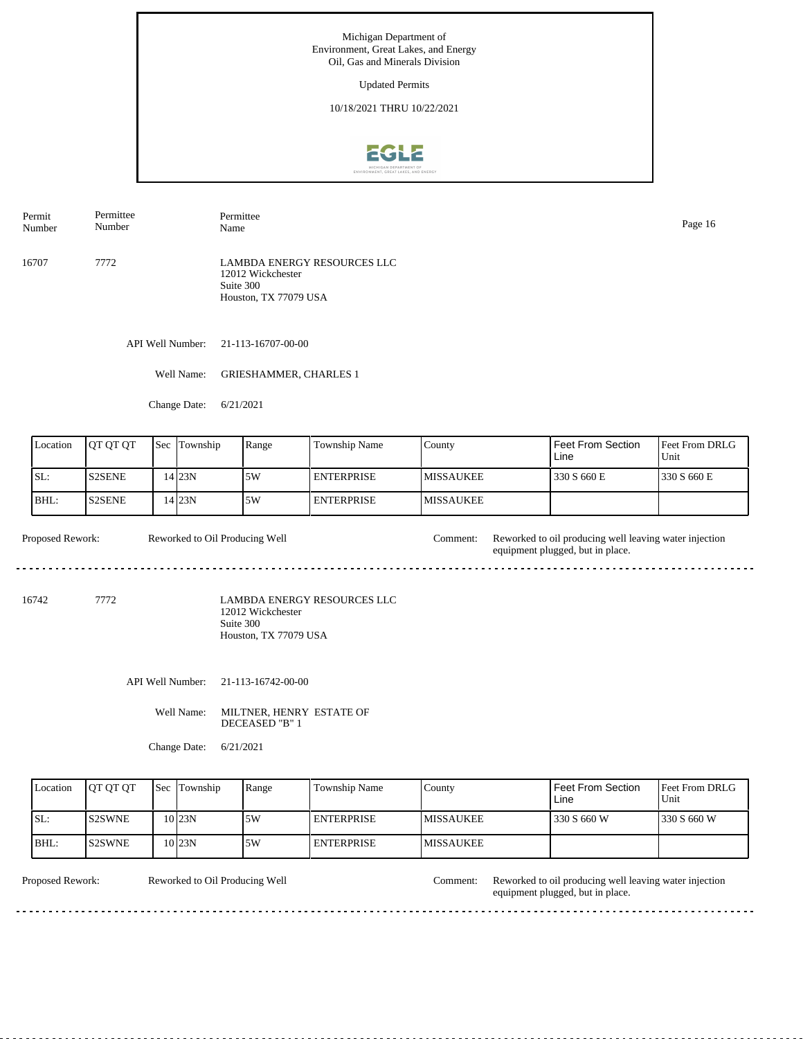Updated Permits

10/18/2021 THRU 10/22/2021



Permit Number Permittee Number Permittee Name Page 16

16707 7772 LAMBDA ENERGY RESOURCES LLC 12012 Wickchester Suite 300 Houston, TX 77079 USA

API Well Number: 21-113-16707-00-00

Well Name: GRIESHAMMER, CHARLES 1

Change Date: 6/21/2021

| Location | <b>OT OT OT</b> | <b>Sec</b> | Township | Range | Township Name     | County            | <b>Feet From Section</b><br>Line | <b>Feet From DRLG</b><br>Unit |
|----------|-----------------|------------|----------|-------|-------------------|-------------------|----------------------------------|-------------------------------|
| ISL:     | <b>S2SENE</b>   |            | 4 23N    | .5W   | I ENTERPRISE.     | <b>IMISSAUKEE</b> | 330 S 660 E                      | 1330 S 660 E                  |
| IBHL:    | <b>S2SENE</b>   |            | 4 23N    | 5W    | <b>ENTERPRISE</b> | <b>IMISSAUKEE</b> |                                  |                               |

Proposed Rework: Reworked to Oil Producing Well Comment: Reworked to oil producing well leaving water injection Reworked to Oil Producing Well equipment plugged, but in place. <u>. . . . . . . . . . .</u> <u>. . . . . . . . . . . . . .</u>

16742 7772

LAMBDA ENERGY RESOURCES LLC 12012 Wickchester Suite 300 Houston, TX 77079 USA

API Well Number: 21-113-16742-00-00

Well Name: MILTNER, HENRY ESTATE OF DECEASED "B" 1

Change Date: 6/21/2021

| Location | <b>OT OT OT</b> | <b>Sec Township</b> | Range | Township Name     | County            | Feet From Section<br>Line | <b>Feet From DRLG</b><br>Unit |
|----------|-----------------|---------------------|-------|-------------------|-------------------|---------------------------|-------------------------------|
| ISL:     | <b>IS2SWNE</b>  | $10$ <sub>23N</sub> | 15W   | <b>ENTERPRISE</b> | <b>IMISSAUKEE</b> | 330 S 660 W               | 1330 S 660 W                  |
| IBHL:    | IS2SWNE         | $10$ <sub>23N</sub> | .5W   | <b>ENTERPRISE</b> | <b>IMISSAUKEE</b> |                           |                               |

Reworked to Oil Producing Well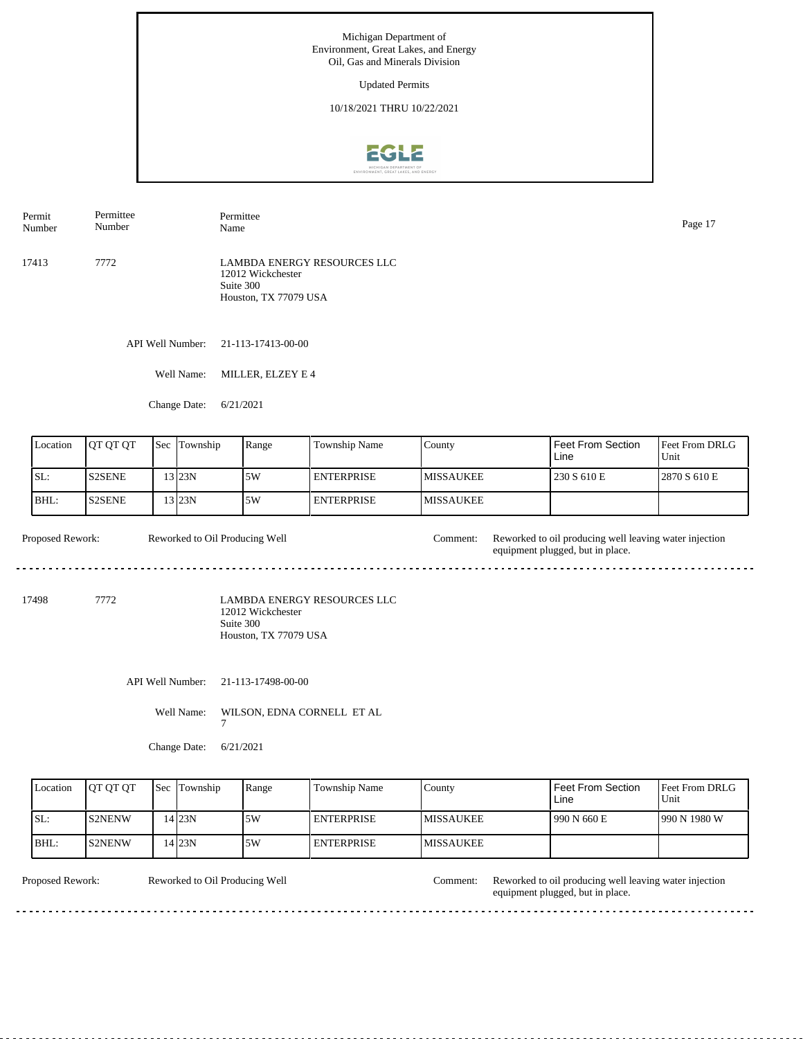Updated Permits

10/18/2021 THRU 10/22/2021



API Well Number: 21-113-17413-00-00 17413 7772 LAMBDA ENERGY RESOURCES LLC 12012 Wickchester Suite 300 Houston, TX 77079 USA Permit Number Permittee Number Permittee Name Page 17

Well Name: MILLER, ELZEY E 4

Change Date: 6/21/2021

| Location | <b>IOT OT OT</b> | <b>Sec</b> | Township | Range | <b>Township Name</b> | County            | Feet From Section<br>Line | <b>Feet From DRLG</b><br>Unit |
|----------|------------------|------------|----------|-------|----------------------|-------------------|---------------------------|-------------------------------|
| SL:      | <b>IS2SENE</b>   |            | 13 I23N  | 5W    | I ENTERPRISE         | <b>IMISSAUKEE</b> | 230 S 610 E               | 12870 S 610 E                 |
| IBHL:    | IS2SENE.         |            | 3 23N    | .5W   | I ENTERPRISE         | <b>IMISSAUKEE</b> |                           |                               |

Proposed Rework: Reworked to Oil Producing Well Comment: Reworked to oil producing well leaving water injection Reworked to Oil Producing Well equipment plugged, but in place. <u>. . . . . . . . . . .</u> <u>. . . . . . . . . . . . .</u>

17498 7772

LAMBDA ENERGY RESOURCES LLC 12012 Wickchester Suite 300 Houston, TX 77079 USA

API Well Number: 21-113-17498-00-00

Well Name: WILSON, EDNA CORNELL ET AL

7

Change Date: 6/21/2021

| Location | <b>OT OT OT</b> | <b>Sec</b> Township | Range | Township Name     | County            | Feet From Section<br>Line | <b>IFeet From DRLG</b><br>Unit |
|----------|-----------------|---------------------|-------|-------------------|-------------------|---------------------------|--------------------------------|
| SL:      | IS2NENW         | 4 23N               | 15W   | <b>ENTERPRISE</b> | <b>IMISSAUKEE</b> | 1990 N 660 E              | 990 N 1980 W                   |
| BHL:     | IS2NENW         | 4 23N               | 5W    | <b>ENTERPRISE</b> | <b>IMISSAUKEE</b> |                           |                                |

Reworked to Oil Producing Well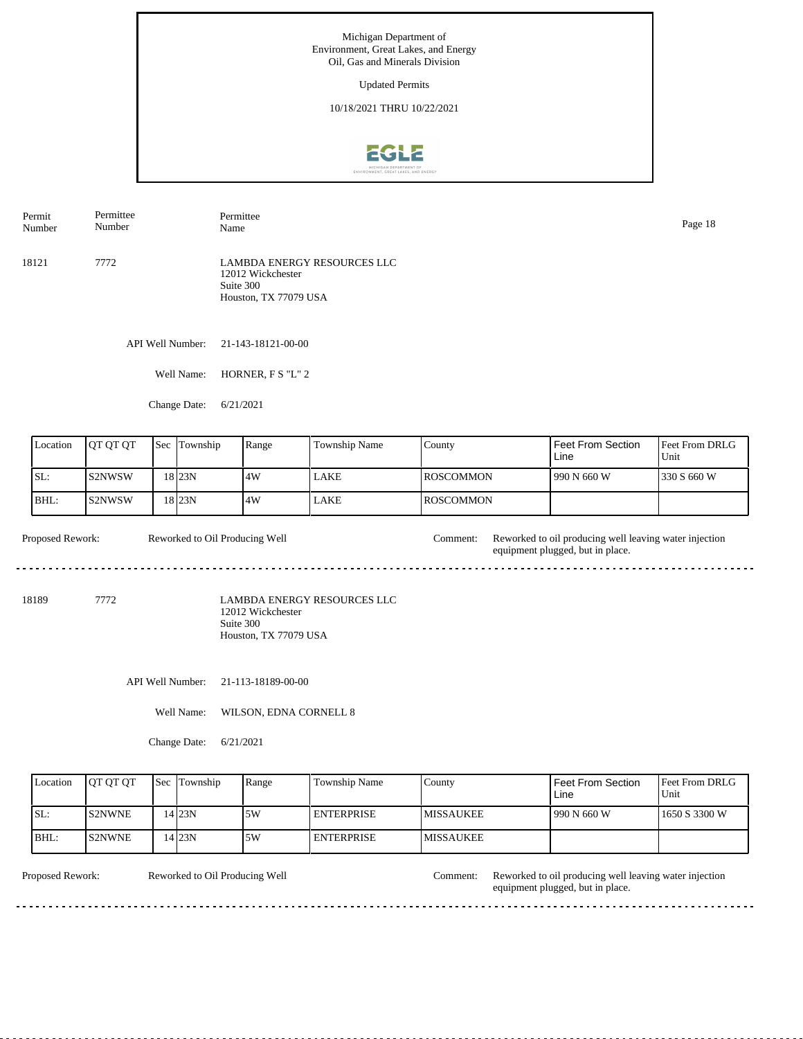Updated Permits

10/18/2021 THRU 10/22/2021



API Well Number: 21-143-18121-00-00 18121 7772 LAMBDA ENERGY RESOURCES LLC 12012 Wickchester Suite 300 Houston, TX 77079 USA Permit Number Permittee Number Permittee Name Page 18

Well Name: HORNER, F S "L" 2

Change Date: 6/21/2021

| Location | <b>OT OT OT</b> | <b>Sec</b> Township | Range | <b>Township Name</b> | County            | Feet From Section<br>Line | Feet From DRLG<br>Unit |
|----------|-----------------|---------------------|-------|----------------------|-------------------|---------------------------|------------------------|
| ISL:     | <b>IS2NWSW</b>  | 18 23N              | 14W   | LAKE                 | <b>IROSCOMMON</b> | 990 N 660 W               | 1330 S 660 W           |
| BHL:     | IS2NWSW         | 18 23N              | 14W   | <b>LAKE</b>          | <b>IROSCOMMON</b> |                           |                        |

Proposed Rework: Reworked to Oil Producing Well Comment: Reworked to oil producing well leaving water injection Reworked to Oil Producing Well equipment plugged, but in place.  $\frac{1}{2} \left( \frac{1}{2} \right) \left( \frac{1}{2} \right) \left( \frac{1}{2} \right) \left( \frac{1}{2} \right) \left( \frac{1}{2} \right)$ 

18189 7772

LAMBDA ENERGY RESOURCES LLC 12012 Wickchester Suite 300 Houston, TX 77079 USA

API Well Number: 21-113-18189-00-00

Well Name: WILSON, EDNA CORNELL 8

Change Date: 6/21/2021

| Location | <b>IOT OT OT</b> | <b>Sec</b> Township | Range | <b>Township Name</b> | Countv            | Feet From Section<br>Line | <b>Feet From DRLG</b><br>Unit |
|----------|------------------|---------------------|-------|----------------------|-------------------|---------------------------|-------------------------------|
| ISL:     | IS2NWNE          | 4 23N               | .5W   | I ENTERPRISE         | <b>IMISSAUKEE</b> | 1990 N 660 W              | 1650 S 3300 W                 |
| IBHL:    | <b>IS2NWNE</b>   | 4 23N               | .5W   | <b>I ENTERPRISE</b>  | <b>IMISSAUKEE</b> |                           |                               |

Reworked to Oil Producing Well

Proposed Rework: Reworked to Oil Producing Well Comment: Reworked to oil producing well leaving water injection equipment plugged, but in place.

<u>. . . . . .</u>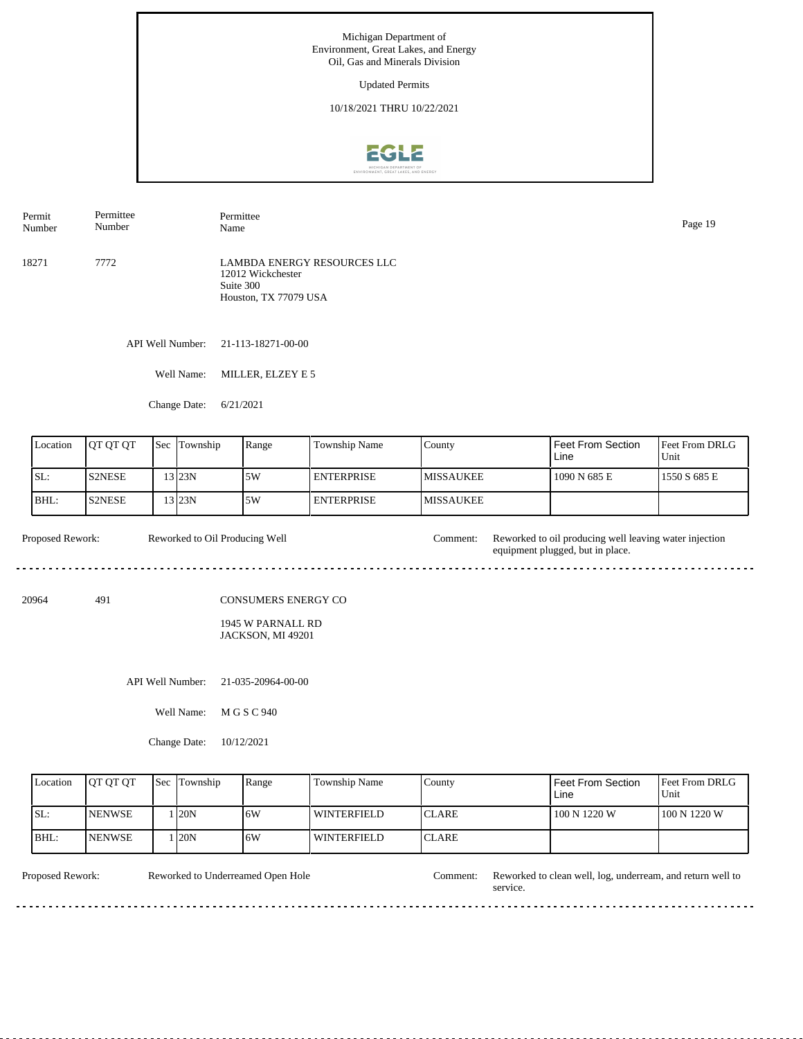Updated Permits

10/18/2021 THRU 10/22/2021



API Well Number: 21-113-18271-00-00 18271 7772 LAMBDA ENERGY RESOURCES LLC 12012 Wickchester Suite 300 Houston, TX 77079 USA Permit Number Permittee Number Permittee Name Page 19

Well Name: MILLER, ELZEY E 5

Change Date: 6/21/2021

| Location | <b>OT OT OT</b> | <b>Sec</b> | Township | Range | Township Name     | County            | Feet From Section<br>Line | <b>Feet From DRLG</b><br>Unit |
|----------|-----------------|------------|----------|-------|-------------------|-------------------|---------------------------|-------------------------------|
| ISL:     | S2NESE          |            | $3$ 23N  | .5W   | I ENTERPRISE      | <b>IMISSAUKEE</b> | 1090 N 685 E              | 1550 S 685 E                  |
| IBHL:    | <b>S2NESE</b>   |            | 13 23N   | 5W    | <b>ENTERPRISE</b> | <b>IMISSAUKEE</b> |                           |                               |

Proposed Rework: Reworked to Oil Producing Well Comment: Reworked to oil producing well leaving water injection Reworked to Oil Producing Well equipment plugged, but in place.  $\frac{1}{2} \left( \frac{1}{2} \right) \left( \frac{1}{2} \right) \left( \frac{1}{2} \right) \left( \frac{1}{2} \right) \left( \frac{1}{2} \right)$ 

20964 491

CONSUMERS ENERGY CO

1945 W PARNALL RD JACKSON, MI 49201

API Well Number: 21-035-20964-00-00

Well Name: M G S C 940

Change Date: 10/12/2021

| Location | <b>OT OT OT</b> | <b>Sec</b> Township | Range | Township Name      | County        | Feet From Section<br>Line | Feet From DRLG<br>Unit |
|----------|-----------------|---------------------|-------|--------------------|---------------|---------------------------|------------------------|
| ISL:     | <b>INENWSE</b>  | 120N                | 16W   | <b>WINTERFIELD</b> | <b>ICLARE</b> | 100 N 1220 W              | 100 N 1220 W           |
| IBHL:    | <b>INENWSE</b>  | . 20N               | 16W   | <b>WINTERFIELD</b> | ICLARE        |                           |                        |

<u>. . . . . . .</u>

Reworked to Underreamed Open Hole

Proposed Rework: Reworked to Underreamed Open Hole Comment: Reworked to clean well, log, underream, and return well to service.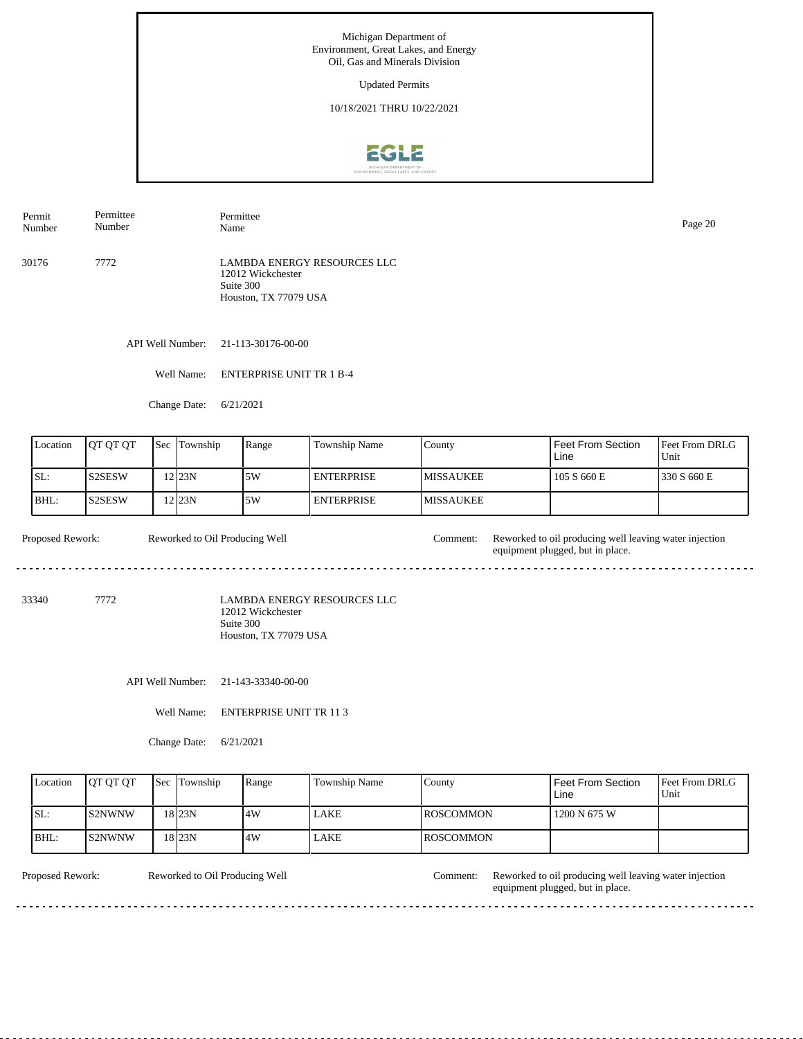Updated Permits

10/18/2021 THRU 10/22/2021



Permit Number Permittee Number Permittee Name Page 20

30176 7772 LAMBDA ENERGY RESOURCES LLC 12012 Wickchester Suite 300 Houston, TX 77079 USA

API Well Number: 21-113-30176-00-00

Well Name: ENTERPRISE UNIT TR 1 B-4

Change Date: 6/21/2021

| Location | <b>IOT OT OT</b> | <b>Sec Township</b> | Range | <b>Township Name</b> | County            | Feet From Section<br>Line | <b>IFeet From DRLG</b><br>Unit |
|----------|------------------|---------------------|-------|----------------------|-------------------|---------------------------|--------------------------------|
| ISL:     | IS2SESW          | 12 <sub>23N</sub>   | 5W    | I ENTERPRISE         | <b>IMISSAUKEE</b> | 105 S 660 E               | 1330 S 660 E                   |
| BHL:     | IS2SESW          | 12 23N              | .5W   | I ENTERPRISE         | <b>IMISSAUKEE</b> |                           |                                |

Proposed Rework: Reworked to Oil Producing Well Comment: Reworked to oil producing well leaving water injection Reworked to Oil Producing Well equipment plugged, but in place.  $\frac{1}{2} \left( \frac{1}{2} \right) \left( \frac{1}{2} \right) \left( \frac{1}{2} \right) \left( \frac{1}{2} \right) \left( \frac{1}{2} \right)$ 

33340 7772

LAMBDA ENERGY RESOURCES LLC 12012 Wickchester Suite 300 Houston, TX 77079 USA

API Well Number: 21-143-33340-00-00

Well Name: ENTERPRISE UNIT TR 11 3

Change Date: 6/21/2021

| Location | <b>IOT OT OT</b> | <b>Sec</b> Township | Range | Township Name | County            | <b>Feet From Section</b><br>Line | <b>Feet From DRLG</b><br>Unit |
|----------|------------------|---------------------|-------|---------------|-------------------|----------------------------------|-------------------------------|
| ISL:     | IS2NWNW          | 18 <sub>23N</sub>   | 14W   | <b>LAKE</b>   | <b>IROSCOMMON</b> | 1200 N 675 W                     |                               |
| BHL:     | IS2NWNW          | 18 23N              | 14W   | LAKE          | <b>IROSCOMMON</b> |                                  |                               |

Reworked to Oil Producing Well

Proposed Rework: Reworked to Oil Producing Well Comment: Reworked to oil producing well leaving water injection equipment plugged, but in place.

 $- - - - - -$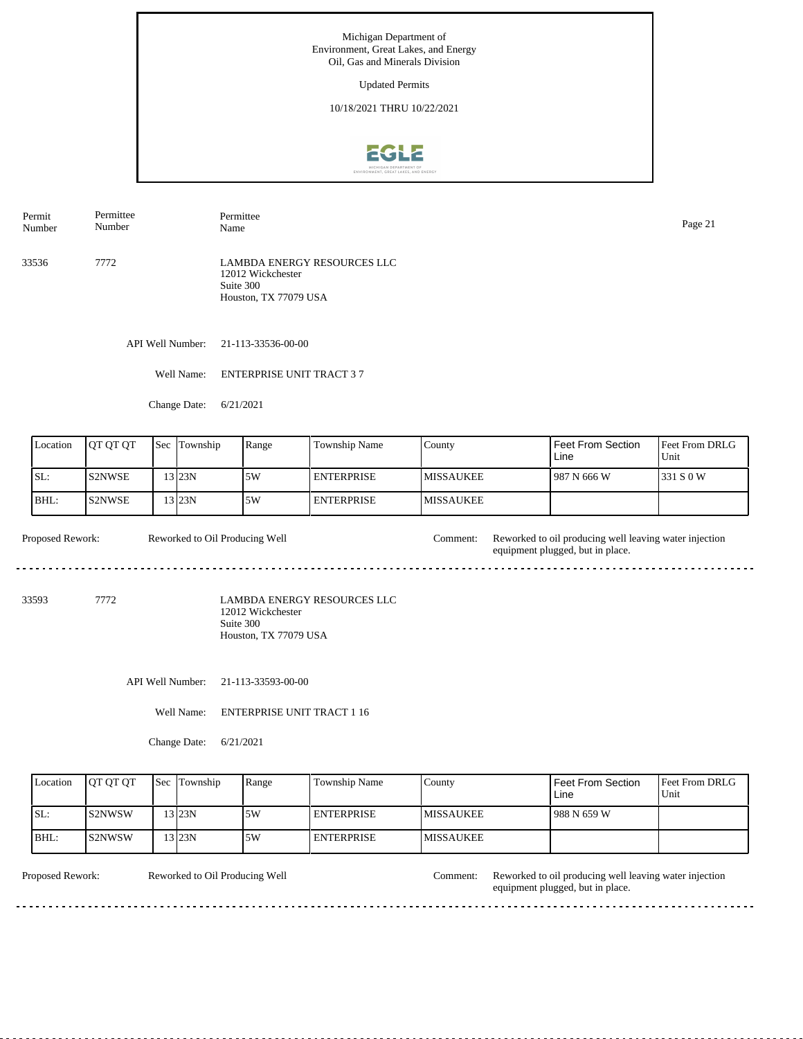Updated Permits

10/18/2021 THRU 10/22/2021



Permit Number Permittee Number Permittee Name Page 21

33536 7772 LAMBDA ENERGY RESOURCES LLC 12012 Wickchester Suite 300 Houston, TX 77079 USA

API Well Number: 21-113-33536-00-00

Well Name: ENTERPRISE UNIT TRACT 3 7

Change Date: 6/21/2021

| Location | <b>OT OT OT</b> | <b>Sec</b> | Township            | Range | Township Name     | County            | <b>Feet From Section</b><br>Line | <b>Feet From DRLG</b><br>Unit |
|----------|-----------------|------------|---------------------|-------|-------------------|-------------------|----------------------------------|-------------------------------|
| ISL:     | IS2NWSE         |            | $3$ <sub>23</sub> N | 5W    | <b>ENTERPRISE</b> | <b>IMISSAUKEE</b> | 1987 N 666 W                     | 1331 S 0 W                    |
| BHL:     | <b>S2NWSE</b>   |            | $3$ 23N             | 5W    | <b>ENTERPRISE</b> | <b>IMISSAUKEE</b> |                                  |                               |

Proposed Rework: Reworked to Oil Producing Well Comment: Reworked to oil producing well leaving water injection Reworked to Oil Producing Well equipment plugged, but in place.  $\frac{1}{2} \left( \frac{1}{2} \right) \left( \frac{1}{2} \right) \left( \frac{1}{2} \right) \left( \frac{1}{2} \right) \left( \frac{1}{2} \right)$ 

33593 7772

LAMBDA ENERGY RESOURCES LLC 12012 Wickchester Suite 300 Houston, TX 77079 USA

API Well Number: 21-113-33593-00-00

Well Name: ENTERPRISE UNIT TRACT 1 16

Change Date: 6/21/2021

|      | Location | <b>IOT OT OT</b> | <b>Sec Township</b> | Range | <b>Township Name</b> | Countv            | Feet From Section<br>Line | <b>Feet From DRLG</b><br>Unit |
|------|----------|------------------|---------------------|-------|----------------------|-------------------|---------------------------|-------------------------------|
| ISL: |          | IS2NWSW          | 13 23N              | 5W    | <b>I ENTERPRISE</b>  | <b>IMISSAUKEE</b> | 988 N 659 W               |                               |
| BHL: |          | IS2NWSW          | 13 23N              | .5W   | <b>I ENTERPRISE</b>  | <b>MISSAUKEE</b>  |                           |                               |

Reworked to Oil Producing Well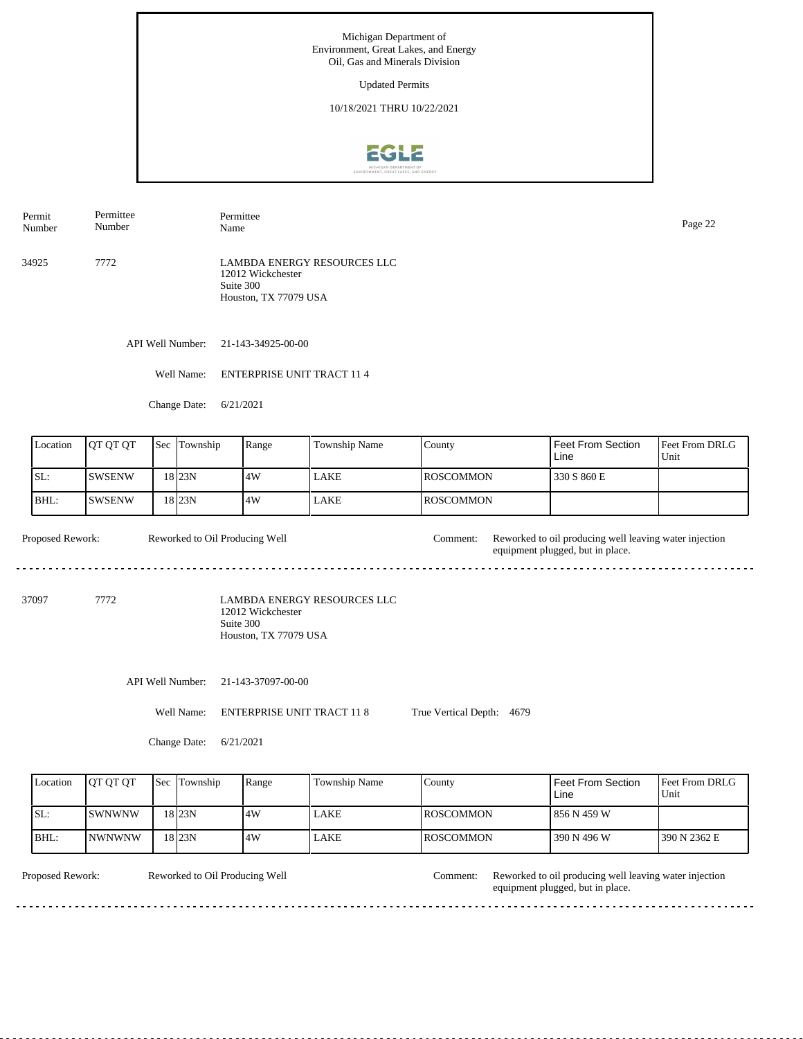Updated Permits

10/18/2021 THRU 10/22/2021



Permit Number Permittee Number Permittee

34925 7772 LAMBDA ENERGY RESOURCES LLC 12012 Wickchester Suite 300 Houston, TX 77079 USA

API Well Number: 21-143-34925-00-00

Well Name: ENTERPRISE UNIT TRACT 11 4

Change Date: 6/21/2021

| Location | <b>JOT OT OT</b> | $\text{Sec}$ | Township | Range | <b>Township Name</b> | County            | Feet From Section<br>Line | <b>Feet From DRLG</b><br>Unit |
|----------|------------------|--------------|----------|-------|----------------------|-------------------|---------------------------|-------------------------------|
| SL:      | ISWSENW          |              | 18 23N   | 14W   | LAKE                 | <b>IROSCOMMON</b> | 330 S 860 E               |                               |
| BHL:     | ISWSENW          |              | 18 23N   | 14W   | LAKE                 | <b>IROSCOMMON</b> |                           |                               |

Proposed Rework: Reworked to Oil Producing Well Comment: Reworked to oil producing well leaving water injection Reworked to Oil Producing Well equipment plugged, but in place.  $\frac{1}{2} \left( \frac{1}{2} \right) \left( \frac{1}{2} \right) \left( \frac{1}{2} \right) \left( \frac{1}{2} \right) \left( \frac{1}{2} \right)$ 

37097 7772

LAMBDA ENERGY RESOURCES LLC 12012 Wickchester Suite 300 Houston, TX 77079 USA

API Well Number: 21-143-37097-00-00

Well Name: ENTERPRISE UNIT TRACT 11 8 True Vertical Depth: 4679

Change Date: 6/21/2021

| Location | <b>IOT OT OT</b> | <b>Sec Township</b> | Range | Township Name | Countv            | <b>Feet From Section</b><br>Line | <b>Feet From DRLG</b><br>Unit |
|----------|------------------|---------------------|-------|---------------|-------------------|----------------------------------|-------------------------------|
| ISL:     | <b>ISWNWNW</b>   | 18 <sub>23N</sub>   | 4W    | LAKE          | <b>IROSCOMMON</b> | 856 N 459 W                      |                               |
| IBHL:    | <b>INWNWNW</b>   | 18 <sub>23N</sub>   | .4W   | LAKE          | <b>IROSCOMMON</b> | 390 N 496 W                      | 1390 N 2362 E                 |

Reworked to Oil Producing Well

Proposed Rework: Reworked to Oil Producing Well Comment: Reworked to oil producing well leaving water injection equipment plugged, but in place. Comment:

Page 22<br>Name Page 22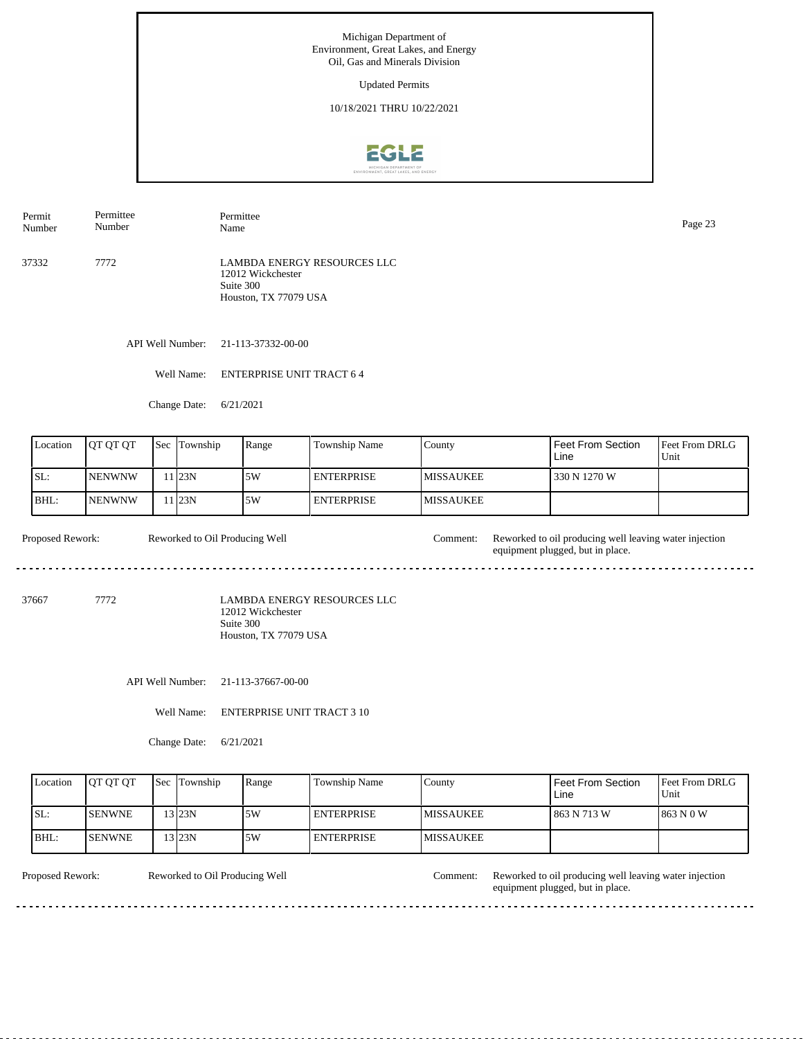Updated Permits

10/18/2021 THRU 10/22/2021



Permit Number Permittee Number Permittee Page 23<br>Name Page 23

37332 7772 LAMBDA ENERGY RESOURCES LLC 12012 Wickchester Suite 300 Houston, TX 77079 USA

API Well Number: 21-113-37332-00-00

Well Name: ENTERPRISE UNIT TRACT 6 4

Change Date: 6/21/2021

| Location | <b>OT OT OT</b> | <b>Sec</b> | Township | Range | Township Name     | County            | <b>Feet From Section</b><br>Line | <b>Feet From DRLG</b><br>Unit |
|----------|-----------------|------------|----------|-------|-------------------|-------------------|----------------------------------|-------------------------------|
| ISL:     | <b>INENWNW</b>  |            | 1 I23N   | 5W    | <b>ENTERPRISE</b> | <b>IMISSAUKEE</b> | 330 N 1270 W                     |                               |
| BHL:     | <b>INENWNW</b>  |            | 1123N    | 5W    | <b>ENTERPRISE</b> | <b>IMISSAUKEE</b> |                                  |                               |

Proposed Rework: Reworked to Oil Producing Well Comment: Reworked to oil producing well leaving water injection Reworked to Oil Producing Well equipment plugged, but in place.  $\frac{1}{2} \left( \frac{1}{2} \right) \left( \frac{1}{2} \right) \left( \frac{1}{2} \right) \left( \frac{1}{2} \right) \left( \frac{1}{2} \right)$ 

37667 7772

LAMBDA ENERGY RESOURCES LLC 12012 Wickchester Suite 300 Houston, TX 77079 USA

API Well Number: 21-113-37667-00-00

Well Name: ENTERPRISE UNIT TRACT 3 10

Change Date: 6/21/2021

| Location | <b>OT OT OT</b> | <b>Sec Township</b> | Range | Township Name      | Countv            | l Feet From Section<br>Line | Feet From DRLG<br>Unit |
|----------|-----------------|---------------------|-------|--------------------|-------------------|-----------------------------|------------------------|
| ISL:     | <b>ISENWNE</b>  | '3 23N              | .5W   | <b>LENTERPRISE</b> | <b>IMISSAUKEE</b> | 1 863 N 713 W               | 1863 N 0 W             |
| IBHL:    | <b>ISENWNE</b>  | 13 I23N             | .5W   | I ENTERPRISE       | <b>IMISSAUKEE</b> |                             |                        |

Reworked to Oil Producing Well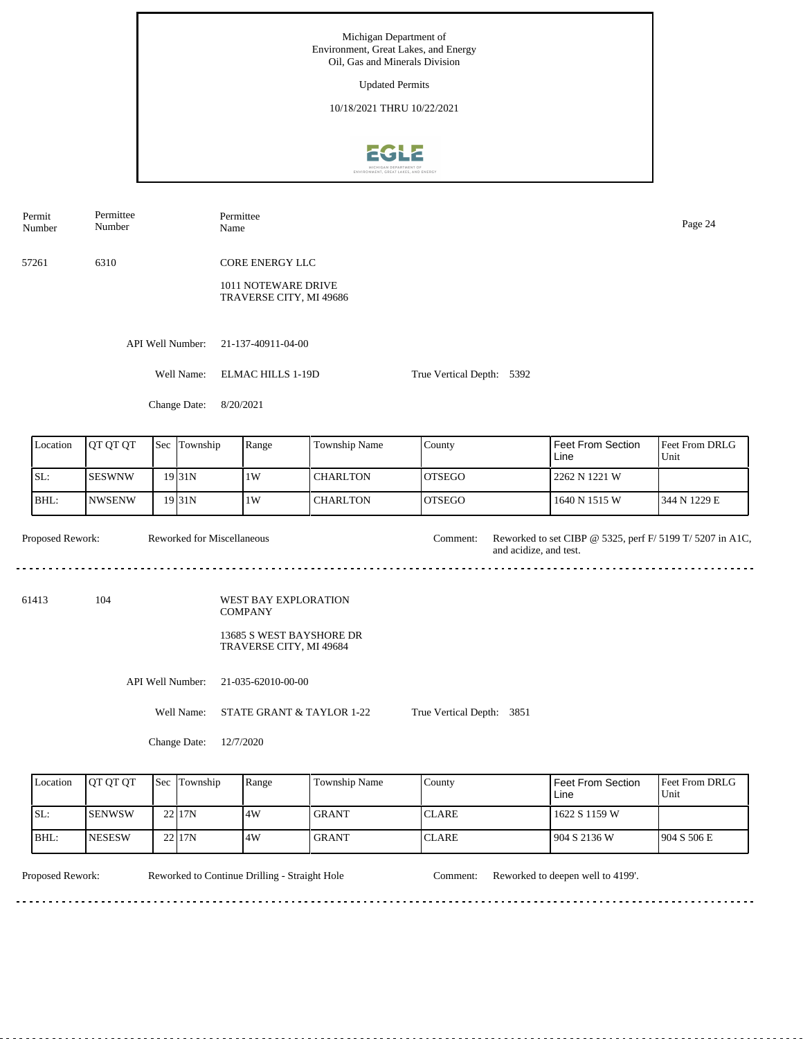Michigan Department of Environment, Great Lakes, and Energy Oil, Gas and Minerals Division Updated Permits 10/18/2021 THRU 10/22/2021



Permittee Permit Permittee Name Page 24 Number Number 57261 6310 CORE ENERGY LLC 1011 NOTEWARE DRIVE TRAVERSE CITY, MI 49686 API Well Number: 21-137-40911-04-00 Well Name: ELMAC HILLS 1-19D True Vertical Depth: 5392 Change Date: 8/20/2021 Feet From Section Location | QT QT QT | Sec | Township | Range | Township Name Sec Township County Feet From DRLG Line Unit SL: SESWNW 1W CHARLTON 2262 N 1221 W OTSEGO 19 31N BHL: NWSENW  $31N$   $1W$ **CHARLTON** OTSEGO 1640 N 1515 W 344 N 1229 E 19 Proposed Rework: Reworked for Miscellaneous Comment: Reworked to set CIBP @ 5325, perf F/ 5199 T/ 5207 in A1C, Reworked for Miscellaneous Comment: and acidize, and test. 61413 104 WEST BAY EXPLORATION COMPANY 13685 S WEST BAYSHORE DR TRAVERSE CITY, MI 49684 API Well Number: 21-035-62010-00-00 Well Name: STATE GRANT & TAYLOR 1-22 True Vertical Depth: 3851 Change Date: 12/7/2020

| Location | <b>OT OT OT</b> | Sec Township | Range | Township Name | County        | I Feet From Section<br>Line | <b>Feet From DRLG</b><br>Unit |
|----------|-----------------|--------------|-------|---------------|---------------|-----------------------------|-------------------------------|
| SL:      | <b>SENWSW</b>   | 22117N       | 4W    | <b>GRANT</b>  | <b>ICLARE</b> | 1622 S 1159 W               |                               |
| IBHL:    | <b>NESESW</b>   | 22117N       | 4W    | <b>GRANT</b>  | <b>ICLARE</b> | 904 S 2136 W                | 1904 S 506 E                  |

. . . . . . . . . . . . . . . . . .

Proposed Rework: Reworked to Continue Drilling - Straight Hole Comment: Reworked to deepen well to 4199'.